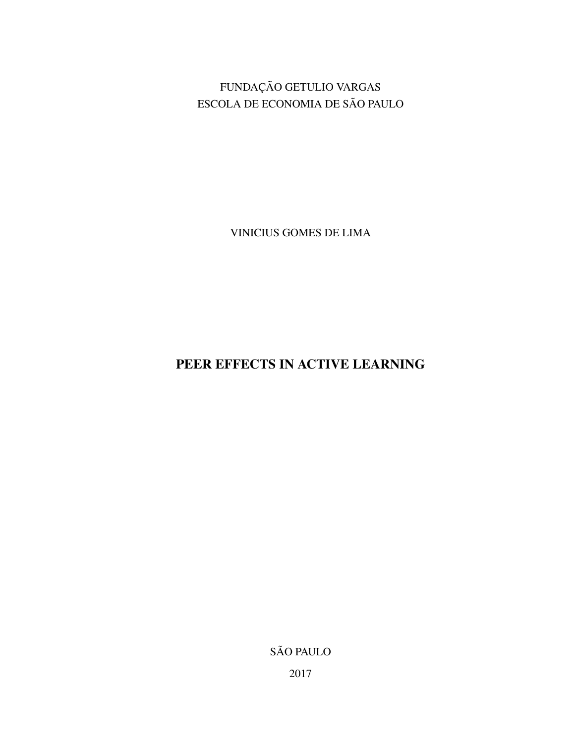FUNDAÇÃO GETULIO VARGAS ESCOLA DE ECONOMIA DE SÃO PAULO

VINICIUS GOMES DE LIMA

PEER EFFECTS IN ACTIVE LEARNING

SÃO PAULO

2017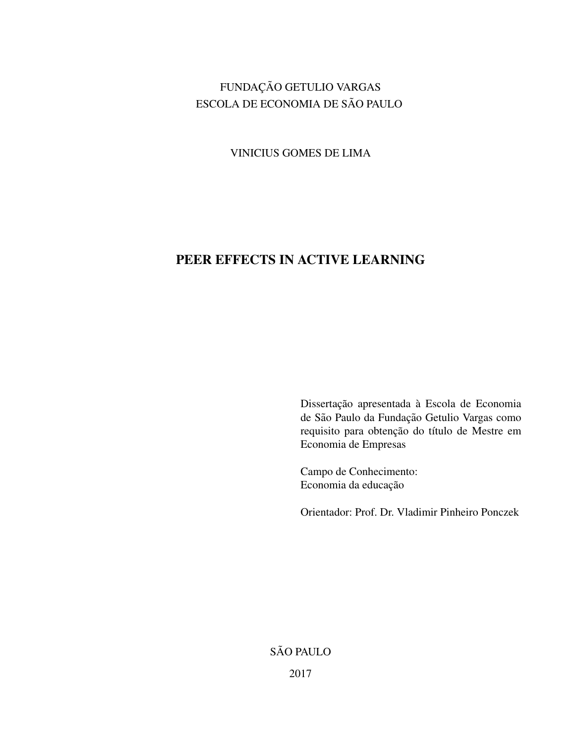## FUNDAÇÃO GETULIO VARGAS ESCOLA DE ECONOMIA DE SÃO PAULO

VINICIUS GOMES DE LIMA

# PEER EFFECTS IN ACTIVE LEARNING

Dissertação apresentada à Escola de Economia de São Paulo da Fundação Getulio Vargas como requisito para obtenção do título de Mestre em Economia de Empresas

Campo de Conhecimento: Economia da educação

Orientador: Prof. Dr. Vladimir Pinheiro Ponczek

SÃO PAULO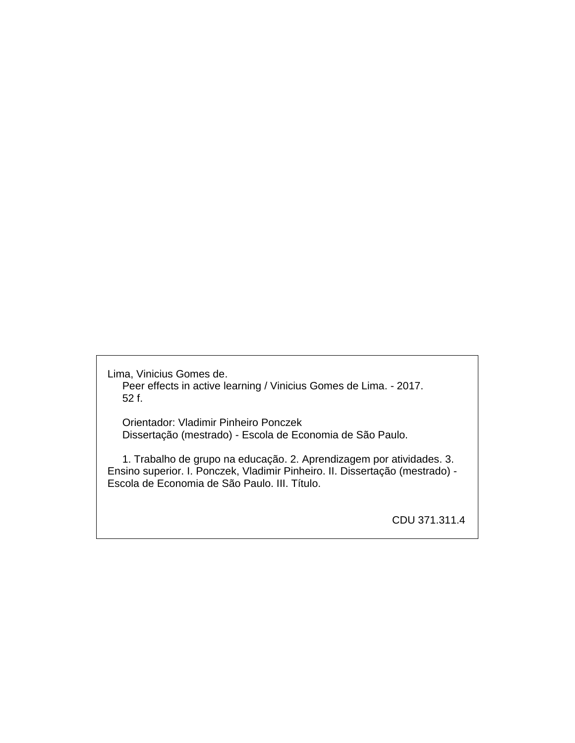Lima, Vinicius Gomes de. Peer effects in active learning / Vinicius Gomes de Lima. - 2017. 52 f.

 Orientador: Vladimir Pinheiro Ponczek Dissertação (mestrado) - Escola de Economia de São Paulo.

 1. Trabalho de grupo na educação. 2. Aprendizagem por atividades. 3. Ensino superior. I. Ponczek, Vladimir Pinheiro. II. Dissertação (mestrado) - Escola de Economia de São Paulo. III. Título.

CDU 371.311.4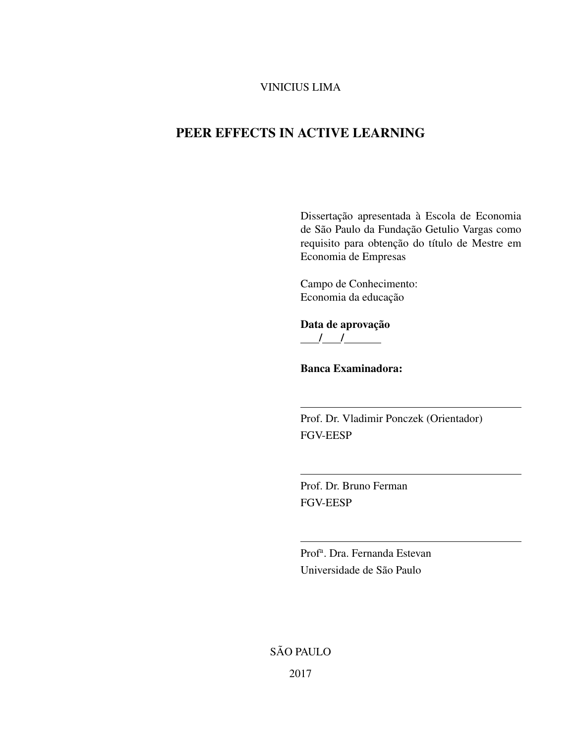### VINICIUS LIMA

## PEER EFFECTS IN ACTIVE LEARNING

Dissertação apresentada à Escola de Economia de São Paulo da Fundação Getulio Vargas como requisito para obtenção do título de Mestre em Economia de Empresas

Campo de Conhecimento: Economia da educação

Data de aprovação  $\frac{1}{2}$ 

Banca Examinadora:

Prof. Dr. Vladimir Ponczek (Orientador) FGV-EESP

Prof. Dr. Bruno Ferman FGV-EESP

Prof<sup>a</sup>. Dra. Fernanda Estevan Universidade de São Paulo

SÃO PAULO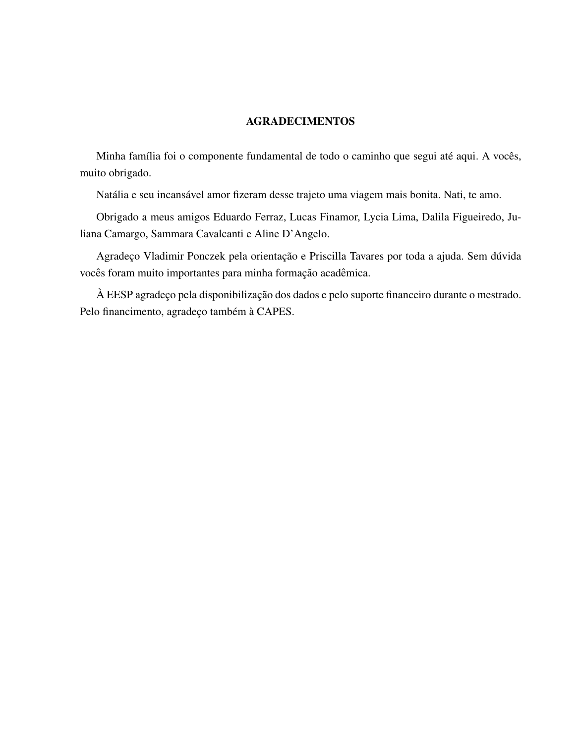### AGRADECIMENTOS

Minha família foi o componente fundamental de todo o caminho que segui até aqui. A vocês, muito obrigado.

Natália e seu incansável amor fizeram desse trajeto uma viagem mais bonita. Nati, te amo.

Obrigado a meus amigos Eduardo Ferraz, Lucas Finamor, Lycia Lima, Dalila Figueiredo, Juliana Camargo, Sammara Cavalcanti e Aline D'Angelo.

Agradeço Vladimir Ponczek pela orientação e Priscilla Tavares por toda a ajuda. Sem dúvida vocês foram muito importantes para minha formação acadêmica.

À EESP agradeço pela disponibilização dos dados e pelo suporte financeiro durante o mestrado. Pelo financimento, agradeço também à CAPES.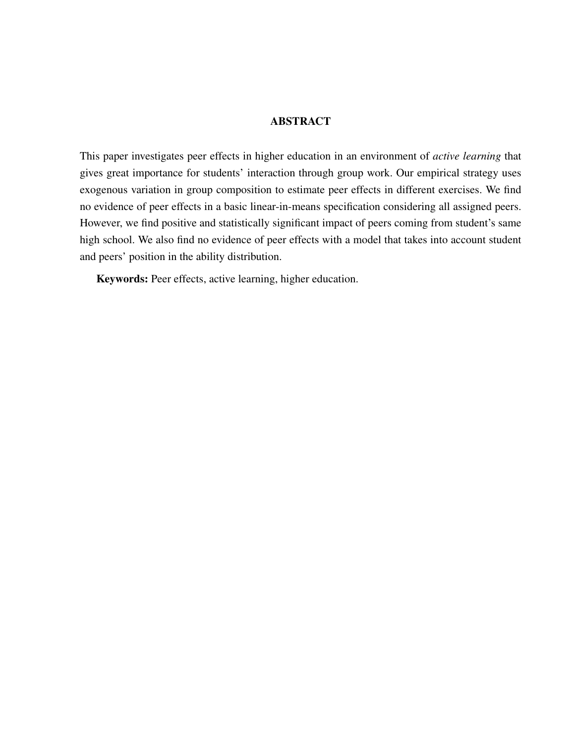### **ABSTRACT**

This paper investigates peer effects in higher education in an environment of *active learning* that gives great importance for students' interaction through group work. Our empirical strategy uses exogenous variation in group composition to estimate peer effects in different exercises. We find no evidence of peer effects in a basic linear-in-means specification considering all assigned peers. However, we find positive and statistically significant impact of peers coming from student's same high school. We also find no evidence of peer effects with a model that takes into account student and peers' position in the ability distribution.

Keywords: Peer effects, active learning, higher education.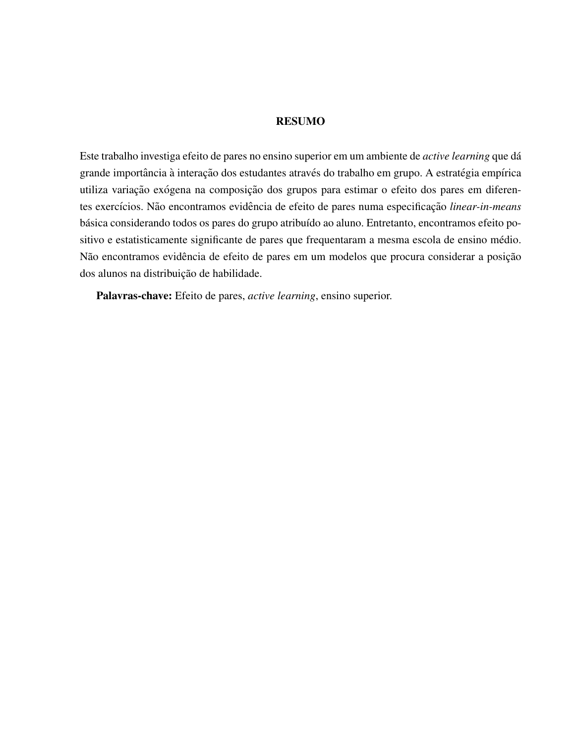#### RESUMO

Este trabalho investiga efeito de pares no ensino superior em um ambiente de *active learning* que da´ grande importância à interação dos estudantes através do trabalho em grupo. A estratégia empírica utiliza variação exógena na composição dos grupos para estimar o efeito dos pares em diferentes exercícios. Não encontramos evidência de efeito de pares numa especificação *linear-in-means* básica considerando todos os pares do grupo atribuído ao aluno. Entretanto, encontramos efeito positivo e estatisticamente significante de pares que frequentaram a mesma escola de ensino médio. Não encontramos evidência de efeito de pares em um modelos que procura considerar a posição dos alunos na distribuição de habilidade.

Palavras-chave: Efeito de pares, *active learning*, ensino superior.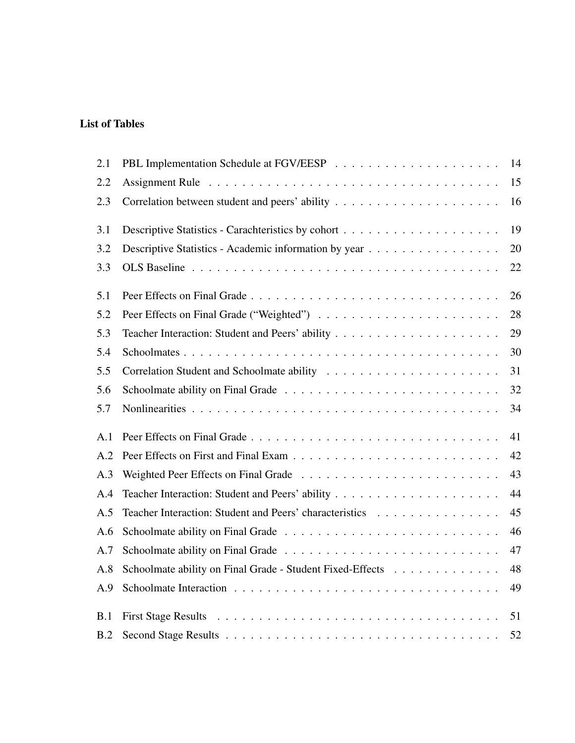## List of Tables

| 2.1 |                                                           | 14 |
|-----|-----------------------------------------------------------|----|
| 2.2 |                                                           | 15 |
| 2.3 |                                                           | 16 |
| 3.1 |                                                           | 19 |
| 3.2 | Descriptive Statistics - Academic information by year     | 20 |
| 3.3 |                                                           | 22 |
| 5.1 |                                                           | 26 |
| 5.2 |                                                           | 28 |
| 5.3 |                                                           | 29 |
| 5.4 |                                                           | 30 |
| 5.5 |                                                           | 31 |
| 5.6 |                                                           | 32 |
| 5.7 |                                                           | 34 |
| A.1 |                                                           | 41 |
| A.2 |                                                           | 42 |
| A.3 |                                                           | 43 |
| A.4 |                                                           | 44 |
| A.5 | Teacher Interaction: Student and Peers' characteristics   | 45 |
| A.6 |                                                           | 46 |
| A.7 |                                                           | 47 |
| A.8 | Schoolmate ability on Final Grade - Student Fixed-Effects | 48 |
| A.9 |                                                           | 49 |
| B.1 |                                                           | 51 |
| B.2 |                                                           | 52 |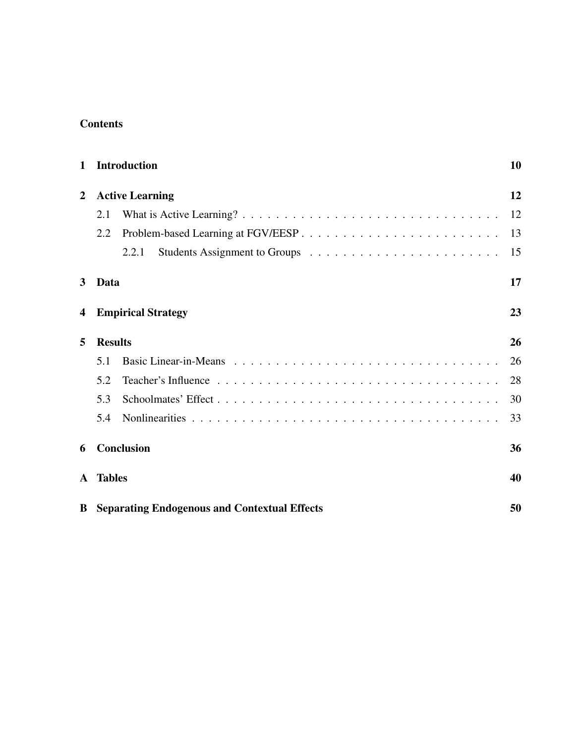### **Contents**

| 1            | <b>Introduction</b>                                   | 10 |
|--------------|-------------------------------------------------------|----|
| 2            | <b>Active Learning</b>                                | 12 |
|              | 2.1                                                   | 12 |
|              | 2.2                                                   | 13 |
|              | 2.2.1                                                 | 15 |
| 3            | Data                                                  | 17 |
| 4            | <b>Empirical Strategy</b>                             | 23 |
| 5            | <b>Results</b>                                        | 26 |
|              | 5.1                                                   | 26 |
|              | 5.2                                                   | 28 |
|              | 5.3                                                   | 30 |
|              | 5.4                                                   | 33 |
| 6            | <b>Conclusion</b>                                     | 36 |
| $\mathbf{A}$ | <b>Tables</b>                                         | 40 |
|              | <b>B</b> Separating Endogenous and Contextual Effects | 50 |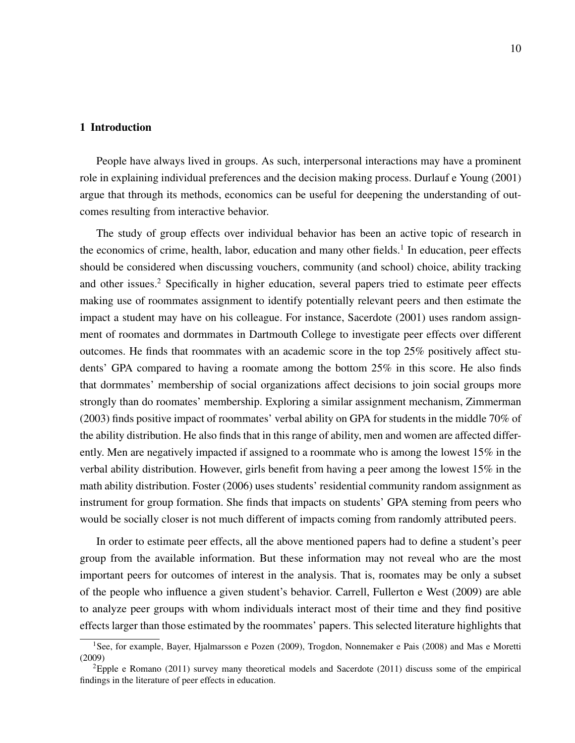### 1 Introduction

People have always lived in groups. As such, interpersonal interactions may have a prominent role in explaining individual preferences and the decision making process. Durlauf e Young (2001) argue that through its methods, economics can be useful for deepening the understanding of outcomes resulting from interactive behavior.

The study of group effects over individual behavior has been an active topic of research in the economics of crime, health, labor, education and many other fields.<sup>1</sup> In education, peer effects should be considered when discussing vouchers, community (and school) choice, ability tracking and other issues.<sup>2</sup> Specifically in higher education, several papers tried to estimate peer effects making use of roommates assignment to identify potentially relevant peers and then estimate the impact a student may have on his colleague. For instance, Sacerdote (2001) uses random assignment of roomates and dormmates in Dartmouth College to investigate peer effects over different outcomes. He finds that roommates with an academic score in the top 25% positively affect students' GPA compared to having a roomate among the bottom 25% in this score. He also finds that dormmates' membership of social organizations affect decisions to join social groups more strongly than do roomates' membership. Exploring a similar assignment mechanism, Zimmerman (2003) finds positive impact of roommates' verbal ability on GPA for students in the middle 70% of the ability distribution. He also finds that in this range of ability, men and women are affected differently. Men are negatively impacted if assigned to a roommate who is among the lowest 15% in the verbal ability distribution. However, girls benefit from having a peer among the lowest 15% in the math ability distribution. Foster (2006) uses students' residential community random assignment as instrument for group formation. She finds that impacts on students' GPA steming from peers who would be socially closer is not much different of impacts coming from randomly attributed peers.

In order to estimate peer effects, all the above mentioned papers had to define a student's peer group from the available information. But these information may not reveal who are the most important peers for outcomes of interest in the analysis. That is, roomates may be only a subset of the people who influence a given student's behavior. Carrell, Fullerton e West (2009) are able to analyze peer groups with whom individuals interact most of their time and they find positive effects larger than those estimated by the roommates' papers. This selected literature highlights that

<sup>&</sup>lt;sup>1</sup>See, for example, Bayer, Hjalmarsson e Pozen (2009), Trogdon, Nonnemaker e Pais (2008) and Mas e Moretti (2009)

<sup>2</sup>Epple e Romano (2011) survey many theoretical models and Sacerdote (2011) discuss some of the empirical findings in the literature of peer effects in education.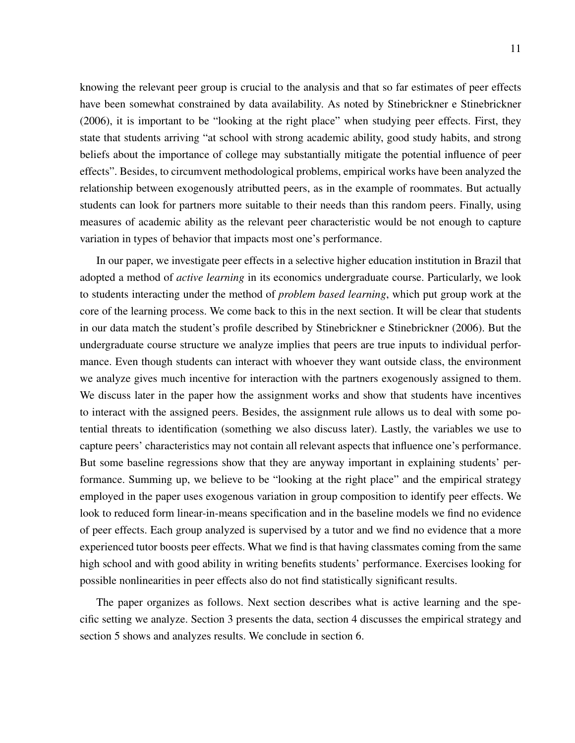knowing the relevant peer group is crucial to the analysis and that so far estimates of peer effects have been somewhat constrained by data availability. As noted by Stinebrickner e Stinebrickner (2006), it is important to be "looking at the right place" when studying peer effects. First, they state that students arriving "at school with strong academic ability, good study habits, and strong beliefs about the importance of college may substantially mitigate the potential influence of peer effects". Besides, to circumvent methodological problems, empirical works have been analyzed the relationship between exogenously atributted peers, as in the example of roommates. But actually students can look for partners more suitable to their needs than this random peers. Finally, using measures of academic ability as the relevant peer characteristic would be not enough to capture variation in types of behavior that impacts most one's performance.

In our paper, we investigate peer effects in a selective higher education institution in Brazil that adopted a method of *active learning* in its economics undergraduate course. Particularly, we look to students interacting under the method of *problem based learning*, which put group work at the core of the learning process. We come back to this in the next section. It will be clear that students in our data match the student's profile described by Stinebrickner e Stinebrickner (2006). But the undergraduate course structure we analyze implies that peers are true inputs to individual performance. Even though students can interact with whoever they want outside class, the environment we analyze gives much incentive for interaction with the partners exogenously assigned to them. We discuss later in the paper how the assignment works and show that students have incentives to interact with the assigned peers. Besides, the assignment rule allows us to deal with some potential threats to identification (something we also discuss later). Lastly, the variables we use to capture peers' characteristics may not contain all relevant aspects that influence one's performance. But some baseline regressions show that they are anyway important in explaining students' performance. Summing up, we believe to be "looking at the right place" and the empirical strategy employed in the paper uses exogenous variation in group composition to identify peer effects. We look to reduced form linear-in-means specification and in the baseline models we find no evidence of peer effects. Each group analyzed is supervised by a tutor and we find no evidence that a more experienced tutor boosts peer effects. What we find is that having classmates coming from the same high school and with good ability in writing benefits students' performance. Exercises looking for possible nonlinearities in peer effects also do not find statistically significant results.

The paper organizes as follows. Next section describes what is active learning and the specific setting we analyze. Section 3 presents the data, section 4 discusses the empirical strategy and section 5 shows and analyzes results. We conclude in section 6.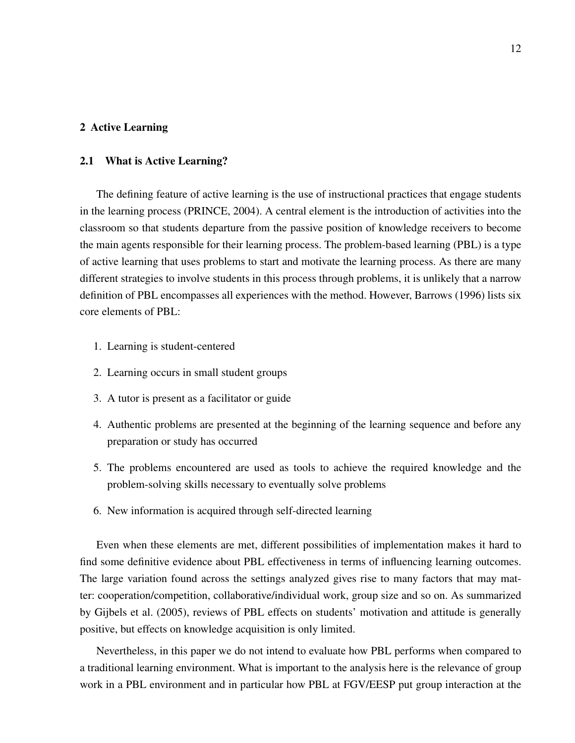### 2 Active Learning

### 2.1 What is Active Learning?

The defining feature of active learning is the use of instructional practices that engage students in the learning process (PRINCE, 2004). A central element is the introduction of activities into the classroom so that students departure from the passive position of knowledge receivers to become the main agents responsible for their learning process. The problem-based learning (PBL) is a type of active learning that uses problems to start and motivate the learning process. As there are many different strategies to involve students in this process through problems, it is unlikely that a narrow definition of PBL encompasses all experiences with the method. However, Barrows (1996) lists six core elements of PBL:

- 1. Learning is student-centered
- 2. Learning occurs in small student groups
- 3. A tutor is present as a facilitator or guide
- 4. Authentic problems are presented at the beginning of the learning sequence and before any preparation or study has occurred
- 5. The problems encountered are used as tools to achieve the required knowledge and the problem-solving skills necessary to eventually solve problems
- 6. New information is acquired through self-directed learning

Even when these elements are met, different possibilities of implementation makes it hard to find some definitive evidence about PBL effectiveness in terms of influencing learning outcomes. The large variation found across the settings analyzed gives rise to many factors that may matter: cooperation/competition, collaborative/individual work, group size and so on. As summarized by Gijbels et al. (2005), reviews of PBL effects on students' motivation and attitude is generally positive, but effects on knowledge acquisition is only limited.

Nevertheless, in this paper we do not intend to evaluate how PBL performs when compared to a traditional learning environment. What is important to the analysis here is the relevance of group work in a PBL environment and in particular how PBL at FGV/EESP put group interaction at the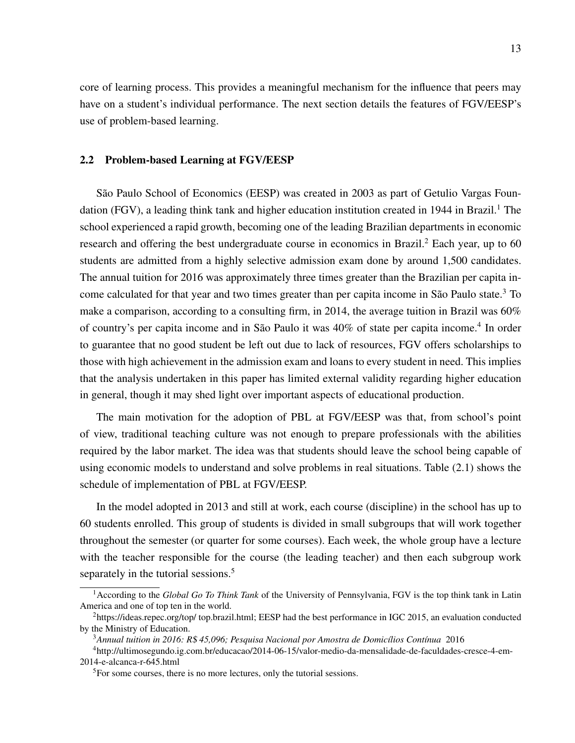core of learning process. This provides a meaningful mechanism for the influence that peers may have on a student's individual performance. The next section details the features of FGV/EESP's use of problem-based learning.

### 2.2 Problem-based Learning at FGV/EESP

São Paulo School of Economics (EESP) was created in 2003 as part of Getulio Vargas Foundation (FGV), a leading think tank and higher education institution created in 1944 in Brazil.<sup>1</sup> The school experienced a rapid growth, becoming one of the leading Brazilian departments in economic research and offering the best undergraduate course in economics in Brazil.<sup>2</sup> Each year, up to 60 students are admitted from a highly selective admission exam done by around 1,500 candidates. The annual tuition for 2016 was approximately three times greater than the Brazilian per capita income calculated for that year and two times greater than per capita income in São Paulo state.<sup>3</sup> To make a comparison, according to a consulting firm, in 2014, the average tuition in Brazil was 60% of country's per capita income and in São Paulo it was 40% of state per capita income.<sup>4</sup> In order to guarantee that no good student be left out due to lack of resources, FGV offers scholarships to those with high achievement in the admission exam and loans to every student in need. This implies that the analysis undertaken in this paper has limited external validity regarding higher education in general, though it may shed light over important aspects of educational production.

The main motivation for the adoption of PBL at FGV/EESP was that, from school's point of view, traditional teaching culture was not enough to prepare professionals with the abilities required by the labor market. The idea was that students should leave the school being capable of using economic models to understand and solve problems in real situations. Table (2.1) shows the schedule of implementation of PBL at FGV/EESP.

In the model adopted in 2013 and still at work, each course (discipline) in the school has up to 60 students enrolled. This group of students is divided in small subgroups that will work together throughout the semester (or quarter for some courses). Each week, the whole group have a lecture with the teacher responsible for the course (the leading teacher) and then each subgroup work separately in the tutorial sessions.<sup>5</sup>

<sup>3</sup> Annual tuition in 2016: R\$ 45,096; Pesquisa Nacional por Amostra de Domicílios Contínua 2016

<sup>1</sup>According to the *Global Go To Think Tank* of the University of Pennsylvania, FGV is the top think tank in Latin America and one of top ten in the world.

<sup>2</sup>https://ideas.repec.org/top/ top.brazil.html; EESP had the best performance in IGC 2015, an evaluation conducted by the Ministry of Education.

<sup>4</sup>http://ultimosegundo.ig.com.br/educacao/2014-06-15/valor-medio-da-mensalidade-de-faculdades-cresce-4-em-2014-e-alcanca-r-645.html

<sup>&</sup>lt;sup>5</sup>For some courses, there is no more lectures, only the tutorial sessions.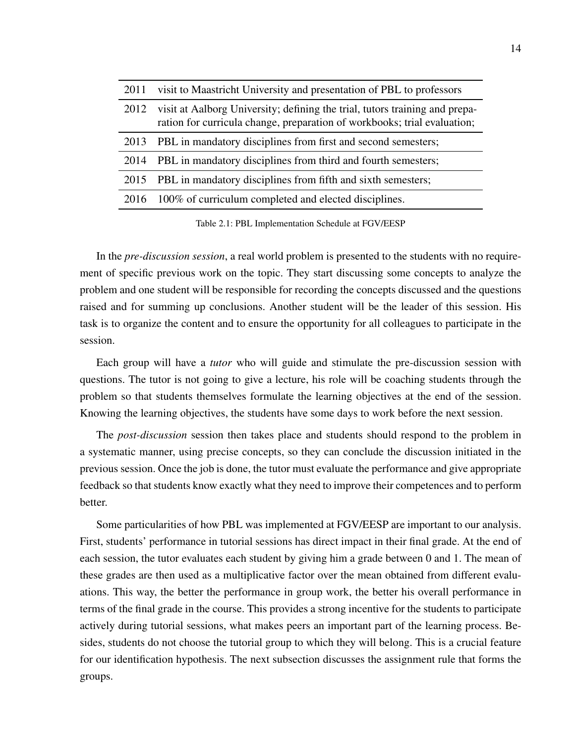| 2011 | visit to Maastricht University and presentation of PBL to professors                                                                                    |
|------|---------------------------------------------------------------------------------------------------------------------------------------------------------|
| 2012 | visit at Aalborg University; defining the trial, tutors training and prepa-<br>ration for curricula change, preparation of workbooks; trial evaluation; |
| 2013 | PBL in mandatory disciplines from first and second semesters;                                                                                           |
| 2014 | PBL in mandatory disciplines from third and fourth semesters;                                                                                           |
| 2015 | PBL in mandatory disciplines from fifth and sixth semesters;                                                                                            |
| 2016 | 100% of curriculum completed and elected disciplines.                                                                                                   |
|      |                                                                                                                                                         |

Table 2.1: PBL Implementation Schedule at FGV/EESP

In the *pre-discussion session*, a real world problem is presented to the students with no requirement of specific previous work on the topic. They start discussing some concepts to analyze the problem and one student will be responsible for recording the concepts discussed and the questions raised and for summing up conclusions. Another student will be the leader of this session. His task is to organize the content and to ensure the opportunity for all colleagues to participate in the session.

Each group will have a *tutor* who will guide and stimulate the pre-discussion session with questions. The tutor is not going to give a lecture, his role will be coaching students through the problem so that students themselves formulate the learning objectives at the end of the session. Knowing the learning objectives, the students have some days to work before the next session.

The *post-discussion* session then takes place and students should respond to the problem in a systematic manner, using precise concepts, so they can conclude the discussion initiated in the previous session. Once the job is done, the tutor must evaluate the performance and give appropriate feedback so that students know exactly what they need to improve their competences and to perform better.

Some particularities of how PBL was implemented at FGV/EESP are important to our analysis. First, students' performance in tutorial sessions has direct impact in their final grade. At the end of each session, the tutor evaluates each student by giving him a grade between 0 and 1. The mean of these grades are then used as a multiplicative factor over the mean obtained from different evaluations. This way, the better the performance in group work, the better his overall performance in terms of the final grade in the course. This provides a strong incentive for the students to participate actively during tutorial sessions, what makes peers an important part of the learning process. Besides, students do not choose the tutorial group to which they will belong. This is a crucial feature for our identification hypothesis. The next subsection discusses the assignment rule that forms the groups.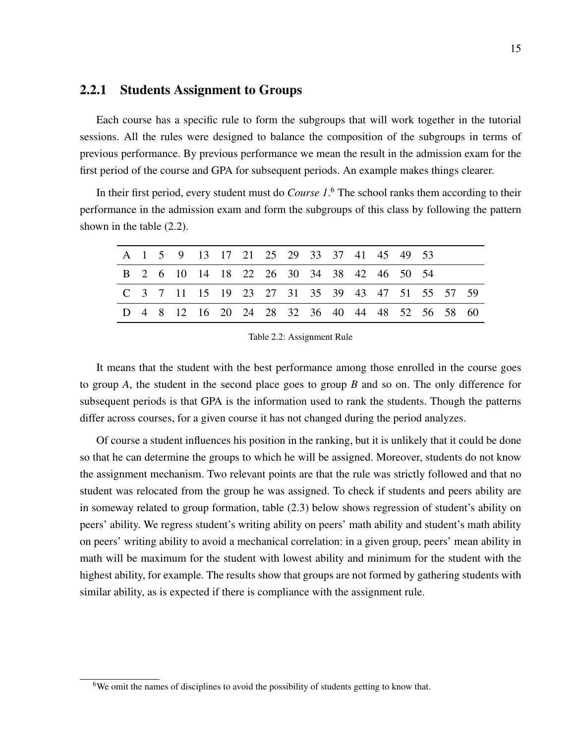### 2.2.1 Students Assignment to Groups

Each course has a specific rule to form the subgroups that will work together in the tutorial sessions. All the rules were designed to balance the composition of the subgroups in terms of previous performance. By previous performance we mean the result in the admission exam for the first period of the course and GPA for subsequent periods. An example makes things clearer.

In their first period, every student must do *Course 1*. <sup>6</sup> The school ranks them according to their performance in the admission exam and form the subgroups of this class by following the pattern shown in the table (2.2).

|  |  |  |  |  |  | A 1 5 9 13 17 21 25 29 33 37 41 45 49 53        |  |  |
|--|--|--|--|--|--|-------------------------------------------------|--|--|
|  |  |  |  |  |  | B 2 6 10 14 18 22 26 30 34 38 42 46 50 54       |  |  |
|  |  |  |  |  |  | C 3 7 11 15 19 23 27 31 35 39 43 47 51 55 57 59 |  |  |
|  |  |  |  |  |  | D 4 8 12 16 20 24 28 32 36 40 44 48 52 56 58 60 |  |  |

Table 2.2: Assignment Rule

It means that the student with the best performance among those enrolled in the course goes to group *A*, the student in the second place goes to group *B* and so on. The only difference for subsequent periods is that GPA is the information used to rank the students. Though the patterns differ across courses, for a given course it has not changed during the period analyzes.

Of course a student influences his position in the ranking, but it is unlikely that it could be done so that he can determine the groups to which he will be assigned. Moreover, students do not know the assignment mechanism. Two relevant points are that the rule was strictly followed and that no student was relocated from the group he was assigned. To check if students and peers ability are in someway related to group formation, table (2.3) below shows regression of student's ability on peers' ability. We regress student's writing ability on peers' math ability and student's math ability on peers' writing ability to avoid a mechanical correlation: in a given group, peers' mean ability in math will be maximum for the student with lowest ability and minimum for the student with the highest ability, for example. The results show that groups are not formed by gathering students with similar ability, as is expected if there is compliance with the assignment rule.

<sup>&</sup>lt;sup>6</sup>We omit the names of disciplines to avoid the possibility of students getting to know that.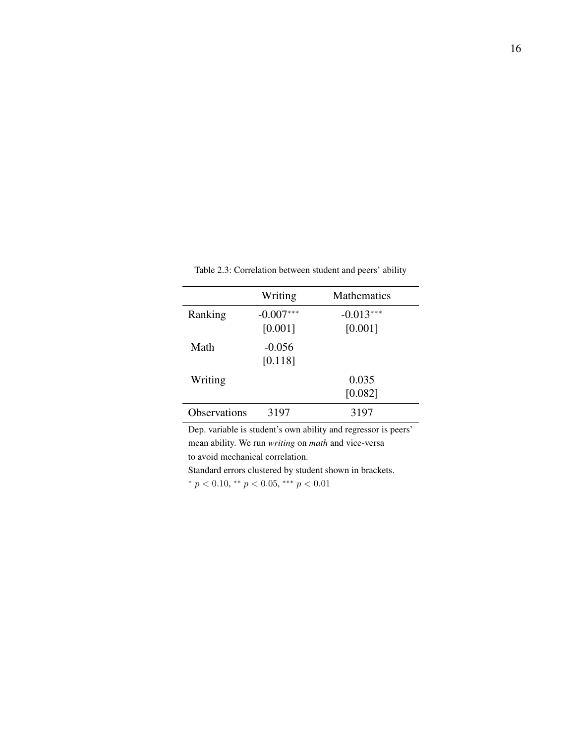|                     | Writing                | <b>Mathematics</b>     |
|---------------------|------------------------|------------------------|
| Ranking             | $-0.007***$<br>[0.001] | $-0.013***$<br>[0.001] |
| Math                | $-0.056$<br>[0.118]    |                        |
| Writing             |                        | 0.035<br>[0.082]       |
| <b>Observations</b> | 3197                   | 3197                   |

Table 2.3: Correlation between student and peers' ability

Dep. variable is student's own ability and regressor is peers' mean ability. We run *writing* on *math* and vice-versa to avoid mechanical correlation.

Standard errors clustered by student shown in brackets.

\*  $p < 0.10$ , \*\*  $p < 0.05$ , \*\*\*  $p < 0.01$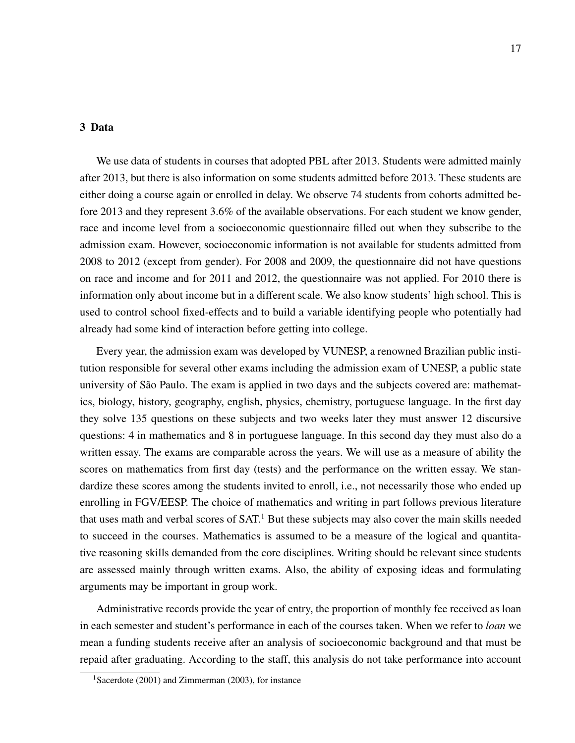### 3 Data

We use data of students in courses that adopted PBL after 2013. Students were admitted mainly after 2013, but there is also information on some students admitted before 2013. These students are either doing a course again or enrolled in delay. We observe 74 students from cohorts admitted before 2013 and they represent 3.6% of the available observations. For each student we know gender, race and income level from a socioeconomic questionnaire filled out when they subscribe to the admission exam. However, socioeconomic information is not available for students admitted from 2008 to 2012 (except from gender). For 2008 and 2009, the questionnaire did not have questions on race and income and for 2011 and 2012, the questionnaire was not applied. For 2010 there is information only about income but in a different scale. We also know students' high school. This is used to control school fixed-effects and to build a variable identifying people who potentially had already had some kind of interaction before getting into college.

Every year, the admission exam was developed by VUNESP, a renowned Brazilian public institution responsible for several other exams including the admission exam of UNESP, a public state university of São Paulo. The exam is applied in two days and the subjects covered are: mathematics, biology, history, geography, english, physics, chemistry, portuguese language. In the first day they solve 135 questions on these subjects and two weeks later they must answer 12 discursive questions: 4 in mathematics and 8 in portuguese language. In this second day they must also do a written essay. The exams are comparable across the years. We will use as a measure of ability the scores on mathematics from first day (tests) and the performance on the written essay. We standardize these scores among the students invited to enroll, i.e., not necessarily those who ended up enrolling in FGV/EESP. The choice of mathematics and writing in part follows previous literature that uses math and verbal scores of  $SAT<sup>1</sup>$  But these subjects may also cover the main skills needed to succeed in the courses. Mathematics is assumed to be a measure of the logical and quantitative reasoning skills demanded from the core disciplines. Writing should be relevant since students are assessed mainly through written exams. Also, the ability of exposing ideas and formulating arguments may be important in group work.

Administrative records provide the year of entry, the proportion of monthly fee received as loan in each semester and student's performance in each of the courses taken. When we refer to *loan* we mean a funding students receive after an analysis of socioeconomic background and that must be repaid after graduating. According to the staff, this analysis do not take performance into account

<sup>&</sup>lt;sup>1</sup>Sacerdote (2001) and Zimmerman (2003), for instance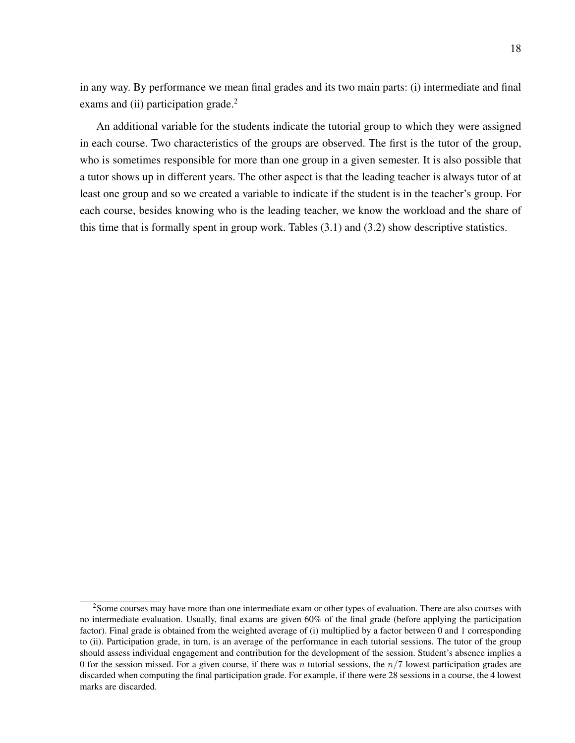in any way. By performance we mean final grades and its two main parts: (i) intermediate and final exams and (ii) participation grade.<sup>2</sup>

An additional variable for the students indicate the tutorial group to which they were assigned in each course. Two characteristics of the groups are observed. The first is the tutor of the group, who is sometimes responsible for more than one group in a given semester. It is also possible that a tutor shows up in different years. The other aspect is that the leading teacher is always tutor of at least one group and so we created a variable to indicate if the student is in the teacher's group. For each course, besides knowing who is the leading teacher, we know the workload and the share of this time that is formally spent in group work. Tables (3.1) and (3.2) show descriptive statistics.

<sup>2</sup>Some courses may have more than one intermediate exam or other types of evaluation. There are also courses with no intermediate evaluation. Usually, final exams are given 60% of the final grade (before applying the participation factor). Final grade is obtained from the weighted average of (i) multiplied by a factor between 0 and 1 corresponding to (ii). Participation grade, in turn, is an average of the performance in each tutorial sessions. The tutor of the group should assess individual engagement and contribution for the development of the session. Student's absence implies a 0 for the session missed. For a given course, if there was n tutorial sessions, the  $n/7$  lowest participation grades are discarded when computing the final participation grade. For example, if there were 28 sessions in a course, the 4 lowest marks are discarded.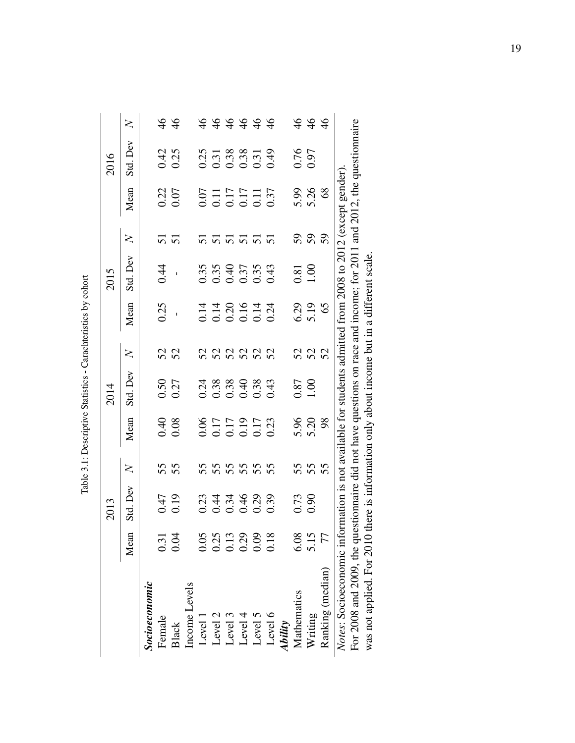|                                                    |                      | 2013                                                                                                  |                                                                                       |                                      | 2014                                              |        |                    | 2015                                           |                 |                                      | 2016                                 |         |
|----------------------------------------------------|----------------------|-------------------------------------------------------------------------------------------------------|---------------------------------------------------------------------------------------|--------------------------------------|---------------------------------------------------|--------|--------------------|------------------------------------------------|-----------------|--------------------------------------|--------------------------------------|---------|
|                                                    | Mean                 | Std. Dev                                                                                              | $\overline{X}$                                                                        | Mean                                 | Std. Dev                                          | $\geq$ | Mean               | Std. Dev                                       | $\overline{X}$  | Mean                                 | Std. Dev                             | $\geq$  |
| Socioeconomic                                      |                      |                                                                                                       |                                                                                       |                                      |                                                   |        |                    |                                                |                 |                                      |                                      |         |
| Female                                             | 0.31                 |                                                                                                       |                                                                                       |                                      |                                                   |        | 0.25               | 0.44                                           |                 |                                      |                                      |         |
| Black                                              | 0.04                 | 0.19<br>0.19                                                                                          | 55                                                                                    | $0.040$<br>0.08                      | $0.50$<br>$0.27$                                  | 52     |                    |                                                | $\frac{51}{51}$ | 0.22                                 | 0.42<br>0.25                         | 46      |
| Income Levels                                      |                      |                                                                                                       |                                                                                       |                                      |                                                   |        |                    |                                                |                 |                                      |                                      |         |
| Level 1                                            | 0.05                 |                                                                                                       |                                                                                       |                                      |                                                   |        |                    |                                                |                 |                                      |                                      |         |
| Level 2                                            |                      |                                                                                                       |                                                                                       |                                      |                                                   |        |                    |                                                |                 |                                      |                                      |         |
| Level 3                                            | 0.25<br>0.13<br>0.29 |                                                                                                       |                                                                                       |                                      |                                                   |        |                    |                                                |                 |                                      |                                      |         |
| Level 4                                            |                      |                                                                                                       |                                                                                       |                                      |                                                   |        |                    |                                                |                 |                                      |                                      |         |
| Level 5                                            | 0.09                 | 0.44460.39<br>0.0.45460.39                                                                            | 5<br>5<br>5<br>5<br>5<br>5<br>5<br>5<br>5<br>5<br>5<br>5<br>5<br>5<br>5<br>5<br>2<br> | 0.06<br>0.17<br>0.19<br>0.23<br>0.23 | $0.388$<br>$0.388$<br>$0.388$<br>$0.43$<br>$0.43$ |        |                    | $0.35$<br>$0.40$<br>$0.37$<br>$0.35$<br>$0.43$ |                 | 0.07<br>0.11<br>0.17<br>0.37<br>0.37 | 0.31<br>0.31<br>0.38<br>0.31<br>0.49 | 7999999 |
| Level 6                                            | 0.18                 |                                                                                                       |                                                                                       |                                      |                                                   |        |                    |                                                |                 |                                      |                                      |         |
| <b>Ability</b>                                     |                      |                                                                                                       |                                                                                       |                                      |                                                   |        |                    |                                                |                 |                                      |                                      |         |
| Mathematics                                        | 6.08                 | 0.73                                                                                                  |                                                                                       |                                      | $0.87$<br>1.00                                    |        |                    | $\frac{0.81}{1.00}$                            |                 |                                      | 0.76                                 |         |
| Writing                                            | 5.15                 |                                                                                                       | 55<br>55<br>55                                                                        | 5.30<br>5.20<br>5.20                 |                                                   | 5252   | 6.29<br>5.19<br>65 |                                                | <b>SSS</b>      | 5.36<br>5.26                         |                                      | 444     |
| Ranking (median)                                   | 77                   |                                                                                                       |                                                                                       |                                      |                                                   |        |                    |                                                |                 |                                      |                                      |         |
| Notes: Socioeconomic info<br><b>Execution</b> COOP |                      | mation is not available for students admitted from $2008$ to $2012$ (except gender)<br>E:E suissance: |                                                                                       |                                      |                                                   |        |                    | 11.2.2.2.2.2.2.0011                            |                 | the CLUC Forms                       |                                      |         |

Table 3.1: Descriptive Statistics - Carachteristics by cohort Table 3.1: Descriptive Statistics - Carachteristics by cohort

For 2008 and 2009, the questionnaire did not have questions on race and income; for 2011 and 2012, the questionnaire For 2008 and 2009, the questionnaire did not have questions on race and income; for 2011 and 2012, the questionnaire was not applied. For 2010 there is information only about income but in a different scale. was not applied. For 2010 there is information only about income but in a different scale.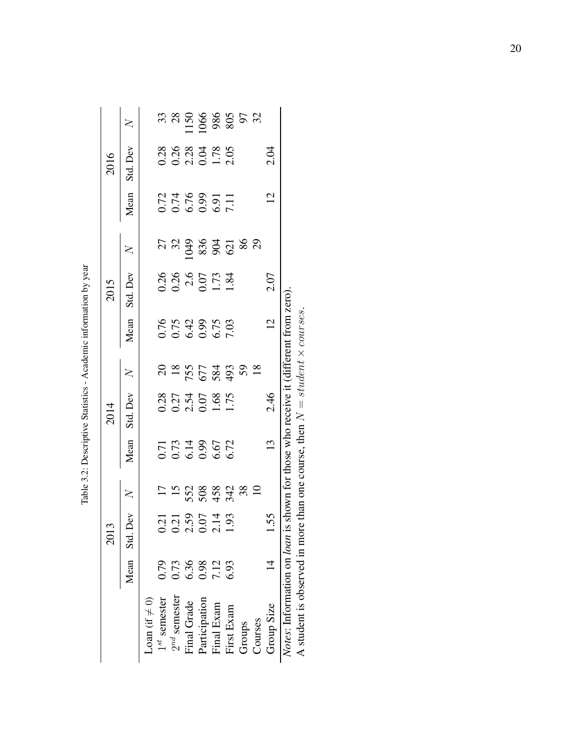|                                                                |      | 2013                                 |                         |                                      | 2014                                                                                                         |           |                                       | 2015                                 |                                             |                                                | 2016                                  |                   |
|----------------------------------------------------------------|------|--------------------------------------|-------------------------|--------------------------------------|--------------------------------------------------------------------------------------------------------------|-----------|---------------------------------------|--------------------------------------|---------------------------------------------|------------------------------------------------|---------------------------------------|-------------------|
|                                                                |      | Mean Std. Dev                        | $\geq$                  | Mean                                 | Std. Dev                                                                                                     | $\geq$    | Mean                                  | Std. Dev                             | $\geq$                                      | Mean                                           | Std. Dev                              | $\geq$            |
| Loan (if $\neq$ 0)                                             |      |                                      |                         |                                      |                                                                                                              |           |                                       |                                      |                                             |                                                |                                       |                   |
| $1^{st}$ semester                                              | 0.79 | 1.21                                 |                         |                                      |                                                                                                              |           |                                       |                                      |                                             |                                                |                                       |                   |
| $2^{nd}$ semester                                              | 0.73 |                                      |                         |                                      |                                                                                                              |           |                                       |                                      |                                             |                                                |                                       |                   |
| Final Grade                                                    | 6.36 | $0.21$<br>$2.59$<br>$0.07$<br>$1.93$ | 15<br>552<br>563<br>454 | 0.71<br>0.73<br>0.99<br>0.72<br>0.72 | 0.28<br>0.27<br>0.54<br>0.07<br>1.75<br>1.75                                                                 | 225523828 | 0.75<br>0.742<br>0.09<br>0.09<br>7.03 | 0.26<br>0.26<br>2.67<br>1.84<br>1.84 | $\begin{array}{l} 7.9888888888 \end{array}$ | 1776<br>0.746<br>0.09<br>0.746<br>0.09<br>0.71 | 0.28<br>0.28<br>0.21<br>0.178<br>2.05 | 33800000000000000 |
| Participation                                                  | 0.98 |                                      |                         |                                      |                                                                                                              |           |                                       |                                      |                                             |                                                |                                       |                   |
| Final Exam                                                     | 7.12 |                                      |                         |                                      |                                                                                                              |           |                                       |                                      |                                             |                                                |                                       |                   |
| First Exam                                                     | 6.93 |                                      |                         |                                      |                                                                                                              |           |                                       |                                      |                                             |                                                |                                       |                   |
| Groups                                                         |      |                                      | 38                      |                                      |                                                                                                              |           |                                       |                                      |                                             |                                                |                                       |                   |
| Courses                                                        |      |                                      |                         |                                      |                                                                                                              |           |                                       |                                      |                                             |                                                |                                       |                   |
| Group Size                                                     |      | 55.                                  |                         | $\frac{1}{3}$                        | 2.46                                                                                                         |           | $\overline{c}$                        | 2.07                                 |                                             | $\overline{2}$                                 | 2.04                                  |                   |
| Notes: Information on loan is<br>A student is observed in more |      |                                      |                         |                                      | shown for those who receive it (different from zero)<br>than one course, then $N = student \times courses$ . |           |                                       |                                      |                                             |                                                |                                       |                   |
|                                                                |      |                                      |                         |                                      |                                                                                                              |           |                                       |                                      |                                             |                                                |                                       |                   |

| ١                                 |
|-----------------------------------|
|                                   |
| contact the state of the state of |
|                                   |
| ֚֡֕                               |
|                                   |
| I                                 |
|                                   |
| .<br>י                            |
| l<br>1<br>Î.                      |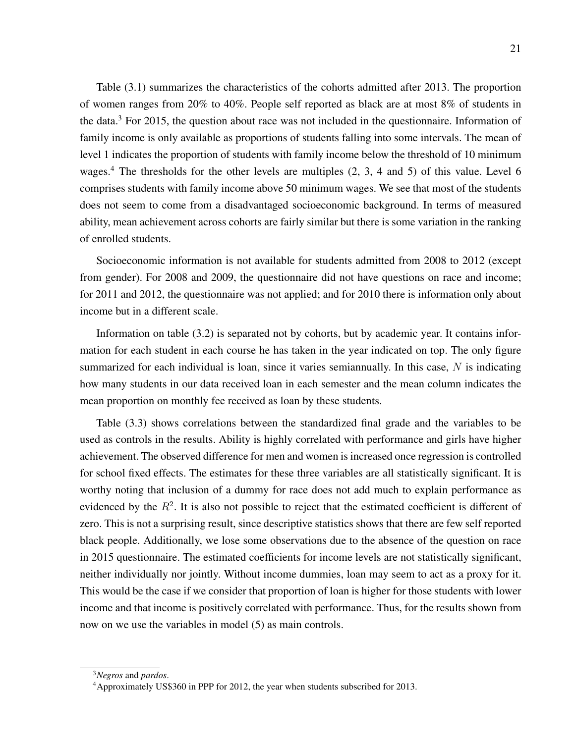Table (3.1) summarizes the characteristics of the cohorts admitted after 2013. The proportion of women ranges from 20% to 40%. People self reported as black are at most 8% of students in the data.<sup>3</sup> For 2015, the question about race was not included in the questionnaire. Information of family income is only available as proportions of students falling into some intervals. The mean of level 1 indicates the proportion of students with family income below the threshold of 10 minimum wages.<sup>4</sup> The thresholds for the other levels are multiples  $(2, 3, 4, 4)$  and 5 of this value. Level 6 comprises students with family income above 50 minimum wages. We see that most of the students does not seem to come from a disadvantaged socioeconomic background. In terms of measured ability, mean achievement across cohorts are fairly similar but there is some variation in the ranking of enrolled students.

Socioeconomic information is not available for students admitted from 2008 to 2012 (except from gender). For 2008 and 2009, the questionnaire did not have questions on race and income; for 2011 and 2012, the questionnaire was not applied; and for 2010 there is information only about income but in a different scale.

Information on table (3.2) is separated not by cohorts, but by academic year. It contains information for each student in each course he has taken in the year indicated on top. The only figure summarized for each individual is loan, since it varies semiannually. In this case,  $N$  is indicating how many students in our data received loan in each semester and the mean column indicates the mean proportion on monthly fee received as loan by these students.

Table (3.3) shows correlations between the standardized final grade and the variables to be used as controls in the results. Ability is highly correlated with performance and girls have higher achievement. The observed difference for men and women is increased once regression is controlled for school fixed effects. The estimates for these three variables are all statistically significant. It is worthy noting that inclusion of a dummy for race does not add much to explain performance as evidenced by the  $R<sup>2</sup>$ . It is also not possible to reject that the estimated coefficient is different of zero. This is not a surprising result, since descriptive statistics shows that there are few self reported black people. Additionally, we lose some observations due to the absence of the question on race in 2015 questionnaire. The estimated coefficients for income levels are not statistically significant, neither individually nor jointly. Without income dummies, loan may seem to act as a proxy for it. This would be the case if we consider that proportion of loan is higher for those students with lower income and that income is positively correlated with performance. Thus, for the results shown from now on we use the variables in model (5) as main controls.

<sup>3</sup>*Negros* and *pardos*.

<sup>4</sup>Approximately US\$360 in PPP for 2012, the year when students subscribed for 2013.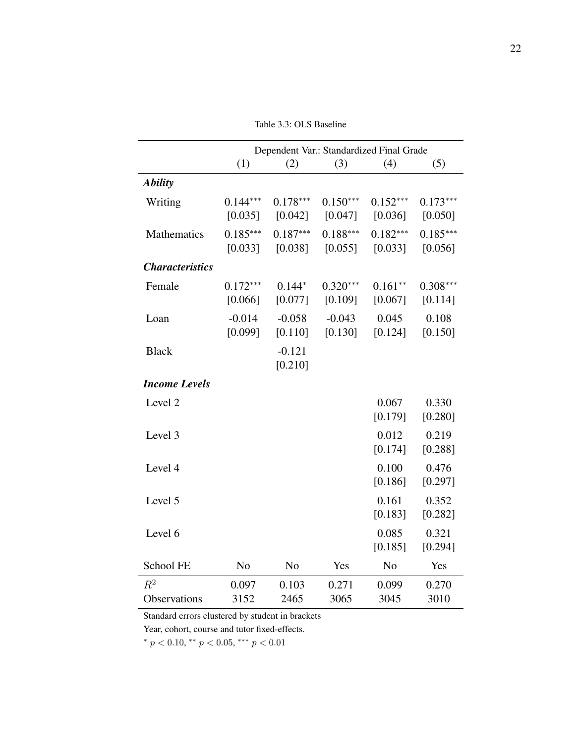Table 3.3: OLS Baseline

|                        |                |                | Dependent Var.: Standardized Final Grade |                |            |
|------------------------|----------------|----------------|------------------------------------------|----------------|------------|
|                        | (1)            | (2)            | (3)                                      | (4)            | (5)        |
| <b>Ability</b>         |                |                |                                          |                |            |
| Writing                | $0.144***$     | $0.178***$     | $0.150***$                               | $0.152***$     | $0.173***$ |
|                        | [0.035]        | [0.042]        | [0.047]                                  | [0.036]        | [0.050]    |
| Mathematics            | $0.185***$     | $0.187***$     | $0.188***$                               | $0.182***$     | $0.185***$ |
|                        | [0.033]        | [0.038]        | [0.055]                                  | [0.033]        | [0.056]    |
| <b>Characteristics</b> |                |                |                                          |                |            |
| Female                 | $0.172***$     | $0.144*$       | $0.320***$                               | $0.161**$      | $0.308***$ |
|                        | [0.066]        | [0.077]        | [0.109]                                  | [0.067]        | [0.114]    |
| Loan                   | $-0.014$       | $-0.058$       | $-0.043$                                 | 0.045          | 0.108      |
|                        | [0.099]        | [0.110]        | [0.130]                                  | [0.124]        | [0.150]    |
| <b>Black</b>           |                | $-0.121$       |                                          |                |            |
|                        |                | [0.210]        |                                          |                |            |
| <b>Income Levels</b>   |                |                |                                          |                |            |
| Level <sub>2</sub>     |                |                |                                          | 0.067          | 0.330      |
|                        |                |                |                                          | [0.179]        | [0.280]    |
| Level 3                |                |                |                                          | 0.012          | 0.219      |
|                        |                |                |                                          | [0.174]        | [0.288]    |
| Level 4                |                |                |                                          | 0.100          | 0.476      |
|                        |                |                |                                          | [0.186]        | [0.297]    |
| Level 5                |                |                |                                          | 0.161          | 0.352      |
|                        |                |                |                                          | [0.183]        | [0.282]    |
| Level 6                |                |                |                                          | 0.085          | 0.321      |
|                        |                |                |                                          | [0.185]        | [0.294]    |
| School FE              | N <sub>o</sub> | N <sub>o</sub> | Yes                                      | N <sub>o</sub> | Yes        |
| $R^2$                  | 0.097          | 0.103          | 0.271                                    | 0.099          | 0.270      |
| Observations           | 3152           | 2465           | 3065                                     | 3045           | 3010       |

Standard errors clustered by student in brackets

Year, cohort, course and tutor fixed-effects.

\*  $p < 0.10$ , \*\*  $p < 0.05$ , \*\*\*  $p < 0.01$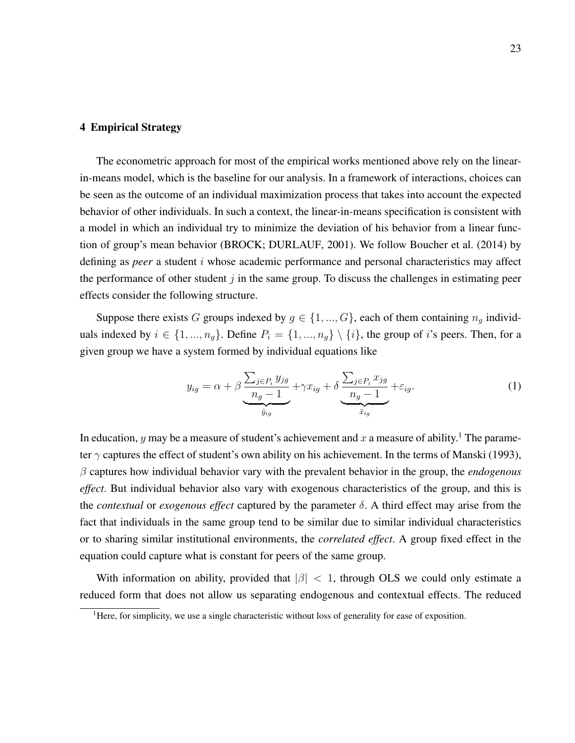#### 4 Empirical Strategy

The econometric approach for most of the empirical works mentioned above rely on the linearin-means model, which is the baseline for our analysis. In a framework of interactions, choices can be seen as the outcome of an individual maximization process that takes into account the expected behavior of other individuals. In such a context, the linear-in-means specification is consistent with a model in which an individual try to minimize the deviation of his behavior from a linear function of group's mean behavior (BROCK; DURLAUF, 2001). We follow Boucher et al. (2014) by defining as *peer* a student i whose academic performance and personal characteristics may affect the performance of other student  $j$  in the same group. To discuss the challenges in estimating peer effects consider the following structure.

Suppose there exists G groups indexed by  $g \in \{1, ..., G\}$ , each of them containing  $n_g$  individuals indexed by  $i \in \{1, ..., n_q\}$ . Define  $P_i = \{1, ..., n_q\} \setminus \{i\}$ , the group of i's peers. Then, for a given group we have a system formed by individual equations like

$$
y_{ig} = \alpha + \beta \underbrace{\frac{\sum_{j \in P_i} y_{jg}}{n_g - 1} + \gamma x_{ig} + \delta \underbrace{\frac{\sum_{j \in P_i} x_{jg}}{n_g - 1} + \varepsilon_{ig}}_{\tilde{x}_{ig}}. \tag{1}
$$

In education, y may be a measure of student's achievement and x a measure of ability.<sup>1</sup> The parameter  $\gamma$  captures the effect of student's own ability on his achievement. In the terms of Manski (1993), β captures how individual behavior vary with the prevalent behavior in the group, the *endogenous effect*. But individual behavior also vary with exogenous characteristics of the group, and this is the *contextual* or *exogenous effect* captured by the parameter δ. A third effect may arise from the fact that individuals in the same group tend to be similar due to similar individual characteristics or to sharing similar institutional environments, the *correlated effect*. A group fixed effect in the equation could capture what is constant for peers of the same group.

With information on ability, provided that  $|\beta| < 1$ , through OLS we could only estimate a reduced form that does not allow us separating endogenous and contextual effects. The reduced

 $<sup>1</sup>$ Here, for simplicity, we use a single characteristic without loss of generality for ease of exposition.</sup>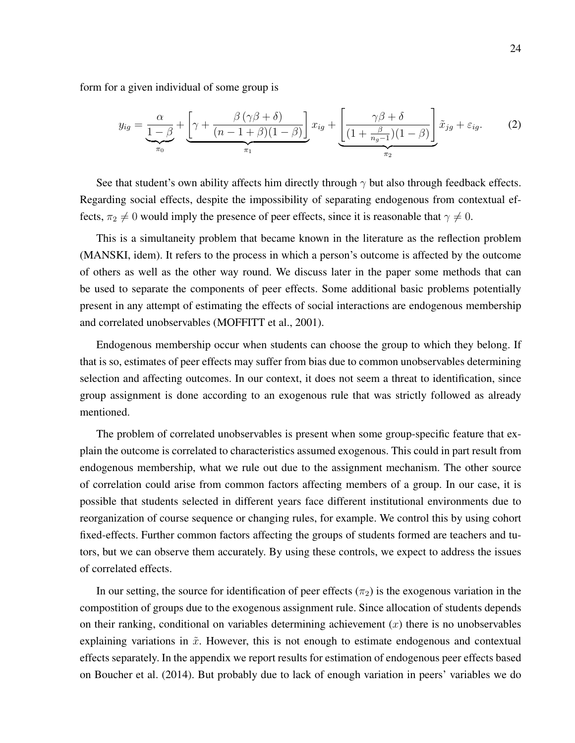form for a given individual of some group is

$$
y_{ig} = \underbrace{\frac{\alpha}{1-\beta} + \left[\gamma + \frac{\beta(\gamma\beta+\delta)}{(n-1+\beta)(1-\beta)}\right]}_{\pi_1} x_{ig} + \underbrace{\left[\frac{\gamma\beta+\delta}{(1+\frac{\beta}{n_g-1})(1-\beta)}\right]}_{\pi_2} \tilde{x}_{ig} + \varepsilon_{ig}.
$$
 (2)

See that student's own ability affects him directly through  $\gamma$  but also through feedback effects. Regarding social effects, despite the impossibility of separating endogenous from contextual effects,  $\pi_2 \neq 0$  would imply the presence of peer effects, since it is reasonable that  $\gamma \neq 0$ .

This is a simultaneity problem that became known in the literature as the reflection problem (MANSKI, idem). It refers to the process in which a person's outcome is affected by the outcome of others as well as the other way round. We discuss later in the paper some methods that can be used to separate the components of peer effects. Some additional basic problems potentially present in any attempt of estimating the effects of social interactions are endogenous membership and correlated unobservables (MOFFITT et al., 2001).

Endogenous membership occur when students can choose the group to which they belong. If that is so, estimates of peer effects may suffer from bias due to common unobservables determining selection and affecting outcomes. In our context, it does not seem a threat to identification, since group assignment is done according to an exogenous rule that was strictly followed as already mentioned.

The problem of correlated unobservables is present when some group-specific feature that explain the outcome is correlated to characteristics assumed exogenous. This could in part result from endogenous membership, what we rule out due to the assignment mechanism. The other source of correlation could arise from common factors affecting members of a group. In our case, it is possible that students selected in different years face different institutional environments due to reorganization of course sequence or changing rules, for example. We control this by using cohort fixed-effects. Further common factors affecting the groups of students formed are teachers and tutors, but we can observe them accurately. By using these controls, we expect to address the issues of correlated effects.

In our setting, the source for identification of peer effects  $(\pi_2)$  is the exogenous variation in the compostition of groups due to the exogenous assignment rule. Since allocation of students depends on their ranking, conditional on variables determining achievement  $(x)$  there is no unobservables explaining variations in  $\tilde{x}$ . However, this is not enough to estimate endogenous and contextual effects separately. In the appendix we report results for estimation of endogenous peer effects based on Boucher et al. (2014). But probably due to lack of enough variation in peers' variables we do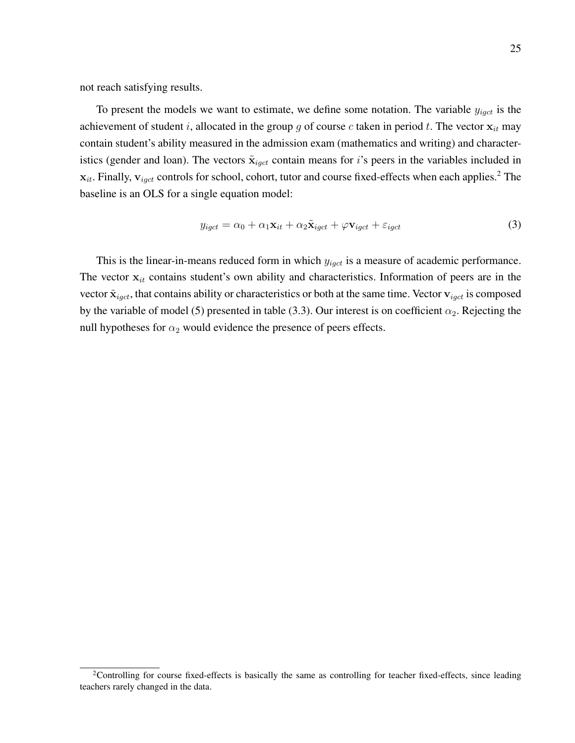not reach satisfying results.

To present the models we want to estimate, we define some notation. The variable  $y_{igct}$  is the achievement of student i, allocated in the group g of course c taken in period t. The vector  $x_{it}$  may contain student's ability measured in the admission exam (mathematics and writing) and characteristics (gender and loan). The vectors  $\tilde{\mathbf{x}}_{igct}$  contain means for i's peers in the variables included in  $x_{it}$ . Finally,  $v_{i qct}$  controls for school, cohort, tutor and course fixed-effects when each applies.<sup>2</sup> The baseline is an OLS for a single equation model:

$$
y_{igct} = \alpha_0 + \alpha_1 \mathbf{x}_{it} + \alpha_2 \tilde{\mathbf{x}}_{igct} + \varphi \mathbf{v}_{igct} + \varepsilon_{igct}
$$
(3)

This is the linear-in-means reduced form in which  $y_{igct}$  is a measure of academic performance. The vector  $x_{it}$  contains student's own ability and characteristics. Information of peers are in the vector  $\tilde{\mathbf{x}}_{igct}$ , that contains ability or characteristics or both at the same time. Vector  $\mathbf{v}_{igct}$  is composed by the variable of model (5) presented in table (3.3). Our interest is on coefficient  $\alpha_2$ . Rejecting the null hypotheses for  $\alpha_2$  would evidence the presence of peers effects.

<sup>2</sup>Controlling for course fixed-effects is basically the same as controlling for teacher fixed-effects, since leading teachers rarely changed in the data.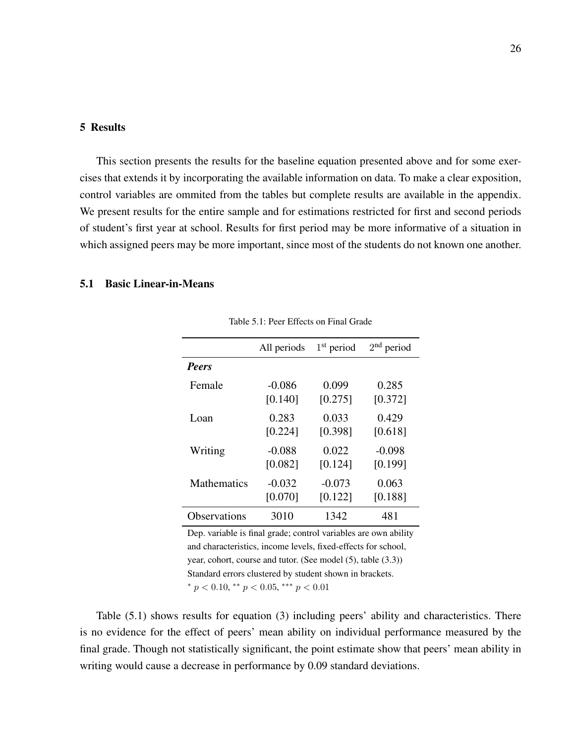#### 5 Results

This section presents the results for the baseline equation presented above and for some exercises that extends it by incorporating the available information on data. To make a clear exposition, control variables are ommited from the tables but complete results are available in the appendix. We present results for the entire sample and for estimations restricted for first and second periods of student's first year at school. Results for first period may be more informative of a situation in which assigned peers may be more important, since most of the students do not known one another.

### 5.1 Basic Linear-in-Means

|                    | All periods | $1st$ period | $2nd$ period |
|--------------------|-------------|--------------|--------------|
| <b>Peers</b>       |             |              |              |
| Female             | $-0.086$    | 0.099        | 0.285        |
|                    | [0.140]     | [0.275]      | [0.372]      |
| Loan               | 0.283       | 0.033        | 0.429        |
|                    | [0.224]     | [0.398]      | [0.618]      |
| Writing            | $-0.088$    | 0.022        | $-0.098$     |
|                    | [0.082]     | [0.124]      | [0.199]      |
| <b>Mathematics</b> | $-0.032$    | $-0.073$     | 0.063        |
|                    | [0.070]     | [0.122]      | [0.188]      |
| Observations       | 3010        | 1342         | 481          |

Table 5.1: Peer Effects on Final Grade

Dep. variable is final grade; control variables are own ability and characteristics, income levels, fixed-effects for school, year, cohort, course and tutor. (See model (5), table (3.3)) Standard errors clustered by student shown in brackets.

\*  $p < 0.10$ , \*\*  $p < 0.05$ , \*\*\*  $p < 0.01$ 

Table (5.1) shows results for equation (3) including peers' ability and characteristics. There is no evidence for the effect of peers' mean ability on individual performance measured by the final grade. Though not statistically significant, the point estimate show that peers' mean ability in writing would cause a decrease in performance by 0.09 standard deviations.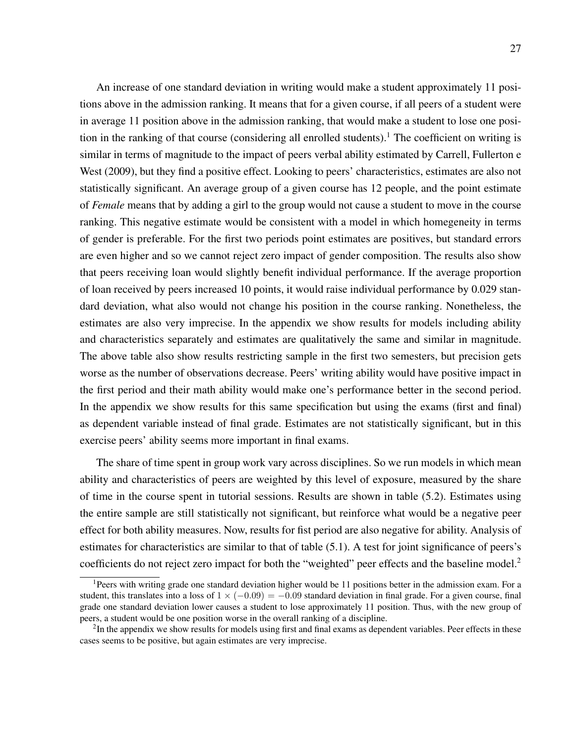An increase of one standard deviation in writing would make a student approximately 11 positions above in the admission ranking. It means that for a given course, if all peers of a student were in average 11 position above in the admission ranking, that would make a student to lose one position in the ranking of that course (considering all enrolled students).<sup>1</sup> The coefficient on writing is similar in terms of magnitude to the impact of peers verbal ability estimated by Carrell, Fullerton e West (2009), but they find a positive effect. Looking to peers' characteristics, estimates are also not statistically significant. An average group of a given course has 12 people, and the point estimate of *Female* means that by adding a girl to the group would not cause a student to move in the course ranking. This negative estimate would be consistent with a model in which homegeneity in terms of gender is preferable. For the first two periods point estimates are positives, but standard errors are even higher and so we cannot reject zero impact of gender composition. The results also show that peers receiving loan would slightly benefit individual performance. If the average proportion of loan received by peers increased 10 points, it would raise individual performance by 0.029 standard deviation, what also would not change his position in the course ranking. Nonetheless, the estimates are also very imprecise. In the appendix we show results for models including ability and characteristics separately and estimates are qualitatively the same and similar in magnitude. The above table also show results restricting sample in the first two semesters, but precision gets worse as the number of observations decrease. Peers' writing ability would have positive impact in the first period and their math ability would make one's performance better in the second period. In the appendix we show results for this same specification but using the exams (first and final) as dependent variable instead of final grade. Estimates are not statistically significant, but in this exercise peers' ability seems more important in final exams.

The share of time spent in group work vary across disciplines. So we run models in which mean ability and characteristics of peers are weighted by this level of exposure, measured by the share of time in the course spent in tutorial sessions. Results are shown in table (5.2). Estimates using the entire sample are still statistically not significant, but reinforce what would be a negative peer effect for both ability measures. Now, results for fist period are also negative for ability. Analysis of estimates for characteristics are similar to that of table (5.1). A test for joint significance of peers's coefficients do not reject zero impact for both the "weighted" peer effects and the baseline model.<sup>2</sup>

<sup>&</sup>lt;sup>1</sup>Peers with writing grade one standard deviation higher would be 11 positions better in the admission exam. For a student, this translates into a loss of  $1 \times (-0.09) = -0.09$  standard deviation in final grade. For a given course, final grade one standard deviation lower causes a student to lose approximately 11 position. Thus, with the new group of peers, a student would be one position worse in the overall ranking of a discipline.

 $2$ In the appendix we show results for models using first and final exams as dependent variables. Peer effects in these cases seems to be positive, but again estimates are very imprecise.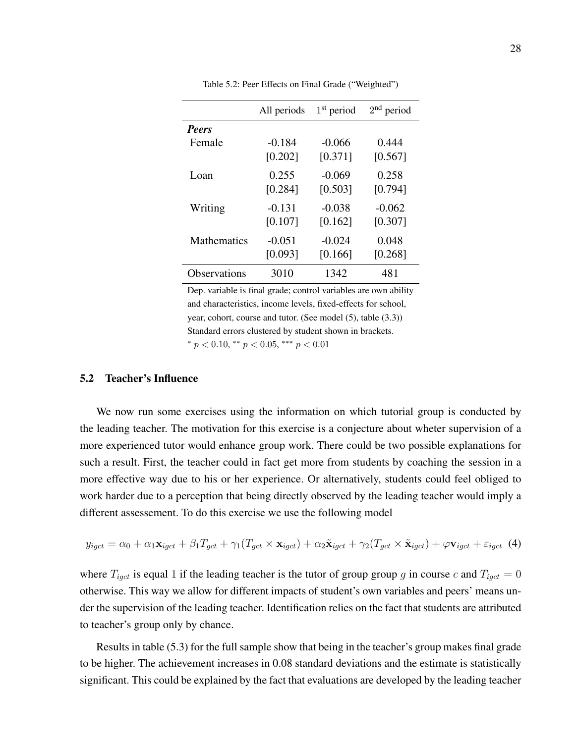|              | All periods | $1st$ period | $2nd$ period |
|--------------|-------------|--------------|--------------|
| <b>Peers</b> |             |              |              |
| Female       | $-0.184$    | $-0.066$     | 0.444        |
|              | [0.202]     | [0.371]      | [0.567]      |
| Loan         | 0.255       | $-0.069$     | 0.258        |
|              | [0.284]     | [0.503]      | [0.794]      |
| Writing      | $-0.131$    | $-0.038$     | $-0.062$     |
|              | [0.107]     | [0.162]      | [0.307]      |
| Mathematics  | $-0.051$    | $-0.024$     | 0.048        |
|              | [0.093]     | [0.166]      | [0.268]      |
| Observations | 3010        | 1342         | 481          |

Table 5.2: Peer Effects on Final Grade ("Weighted")

\*  $p < 0.10$ , \*\*  $p < 0.05$ , \*\*\*  $p < 0.01$ 

### 5.2 Teacher's Influence

We now run some exercises using the information on which tutorial group is conducted by the leading teacher. The motivation for this exercise is a conjecture about wheter supervision of a more experienced tutor would enhance group work. There could be two possible explanations for such a result. First, the teacher could in fact get more from students by coaching the session in a more effective way due to his or her experience. Or alternatively, students could feel obliged to work harder due to a perception that being directly observed by the leading teacher would imply a different assessement. To do this exercise we use the following model

$$
y_{igct} = \alpha_0 + \alpha_1 \mathbf{x}_{igct} + \beta_1 T_{gct} + \gamma_1 (T_{gct} \times \mathbf{x}_{igct}) + \alpha_2 \tilde{\mathbf{x}}_{igct} + \gamma_2 (T_{gct} \times \tilde{\mathbf{x}}_{igct}) + \varphi \mathbf{v}_{igct} + \varepsilon_{igct} \tag{4}
$$

where  $T_{igct}$  is equal 1 if the leading teacher is the tutor of group group g in course c and  $T_{igct} = 0$ otherwise. This way we allow for different impacts of student's own variables and peers' means under the supervision of the leading teacher. Identification relies on the fact that students are attributed to teacher's group only by chance.

Results in table (5.3) for the full sample show that being in the teacher's group makes final grade to be higher. The achievement increases in 0.08 standard deviations and the estimate is statistically significant. This could be explained by the fact that evaluations are developed by the leading teacher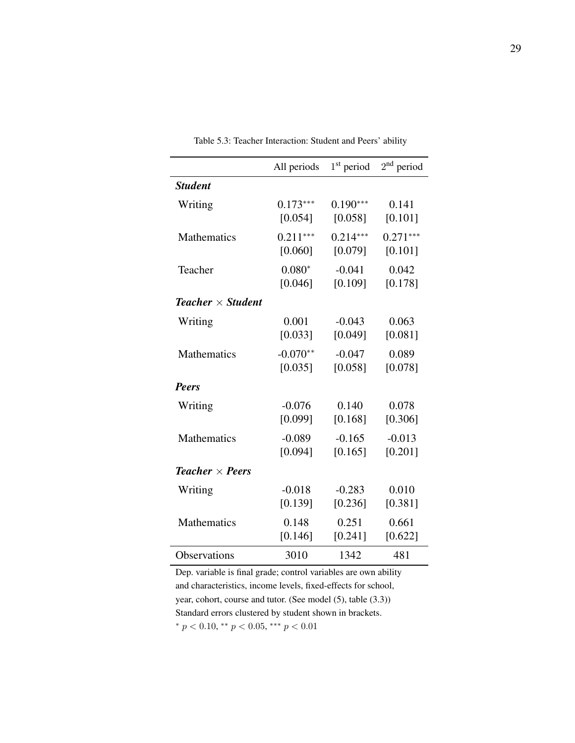|                                      | All periods | $1st$ period | $2nd$ period |
|--------------------------------------|-------------|--------------|--------------|
| <b>Student</b>                       |             |              |              |
| Writing                              | $0.173***$  | $0.190***$   | 0.141        |
|                                      | [0.054]     | [0.058]      | [0.101]      |
| Mathematics                          | $0.211***$  | $0.214***$   | $0.271***$   |
|                                      | [0.060]     | [0.079]      | [0.101]      |
| Teacher                              | $0.080*$    | $-0.041$     | 0.042        |
|                                      | [0.046]     | [0.109]      | [0.178]      |
| <b>Teacher</b> $\times$ Student      |             |              |              |
| Writing                              | 0.001       | $-0.043$     | 0.063        |
|                                      | [0.033]     | [0.049]      | [0.081]      |
| <b>Mathematics</b>                   | $-0.070**$  | $-0.047$     | 0.089        |
|                                      | [0.035]     | [0.058]      | [0.078]      |
| <b>Peers</b>                         |             |              |              |
| Writing                              | $-0.076$    | 0.140        | 0.078        |
|                                      | [0.099]     | [0.168]      | [0.306]      |
| Mathematics                          | $-0.089$    | $-0.165$     | $-0.013$     |
|                                      | [0.094]     | [0.165]      | [0.201]      |
| <b>Teacher</b> $\times$ <b>Peers</b> |             |              |              |
| Writing                              | $-0.018$    | $-0.283$     | 0.010        |
|                                      | [0.139]     | [0.236]      | [0.381]      |
| <b>Mathematics</b>                   | 0.148       | 0.251        | 0.661        |
|                                      | [0.146]     | [0.241]      | [0.622]      |
| Observations                         | 3010        | 1342         | 481          |

Table 5.3: Teacher Interaction: Student and Peers' ability

\*  $p < 0.10$ , \*\*  $p < 0.05$ , \*\*\*  $p < 0.01$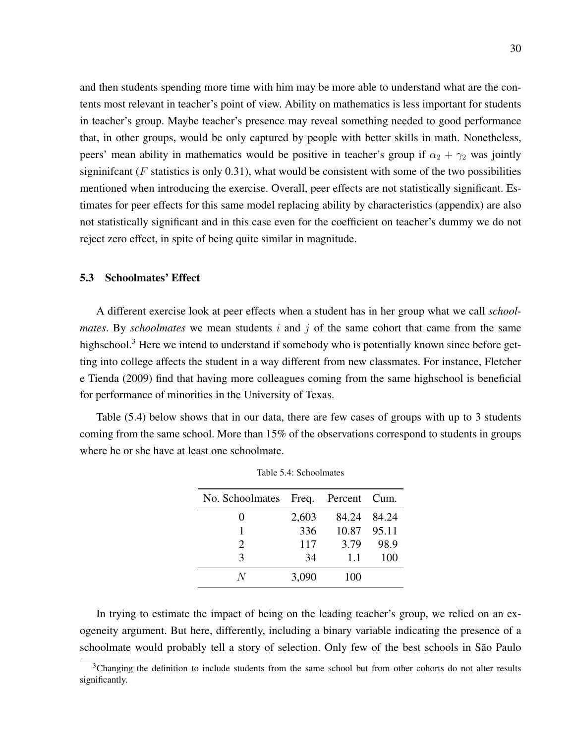and then students spending more time with him may be more able to understand what are the contents most relevant in teacher's point of view. Ability on mathematics is less important for students in teacher's group. Maybe teacher's presence may reveal something needed to good performance that, in other groups, would be only captured by people with better skills in math. Nonetheless, peers' mean ability in mathematics would be positive in teacher's group if  $\alpha_2 + \gamma_2$  was jointly signinificant ( $F$  statistics is only 0.31), what would be consistent with some of the two possibilities mentioned when introducing the exercise. Overall, peer effects are not statistically significant. Estimates for peer effects for this same model replacing ability by characteristics (appendix) are also not statistically significant and in this case even for the coefficient on teacher's dummy we do not reject zero effect, in spite of being quite similar in magnitude.

### 5.3 Schoolmates' Effect

A different exercise look at peer effects when a student has in her group what we call *schoolmates*. By *schoolmates* we mean students  $i$  and  $j$  of the same cohort that came from the same highschool.<sup>3</sup> Here we intend to understand if somebody who is potentially known since before getting into college affects the student in a way different from new classmates. For instance, Fletcher e Tienda (2009) find that having more colleagues coming from the same highschool is beneficial for performance of minorities in the University of Texas.

Table (5.4) below shows that in our data, there are few cases of groups with up to 3 students coming from the same school. More than 15% of the observations correspond to students in groups where he or she have at least one schoolmate.

| No. Schoolmates Freq. Percent Cum. |       |             |             |
|------------------------------------|-------|-------------|-------------|
|                                    | 2,603 |             | 84.24 84.24 |
|                                    | 336   | 10.87 95.11 |             |
| $\mathcal{D}_{\cdot}$              | 117   | 3.79        | 98.9        |
| κ                                  | 34    | 1.1         | 100         |
|                                    | 3,090 | 100         |             |

Table 5.4: Schoolmates

In trying to estimate the impact of being on the leading teacher's group, we relied on an exogeneity argument. But here, differently, including a binary variable indicating the presence of a schoolmate would probably tell a story of selection. Only few of the best schools in São Paulo

 $3$ Changing the definition to include students from the same school but from other cohorts do not alter results significantly.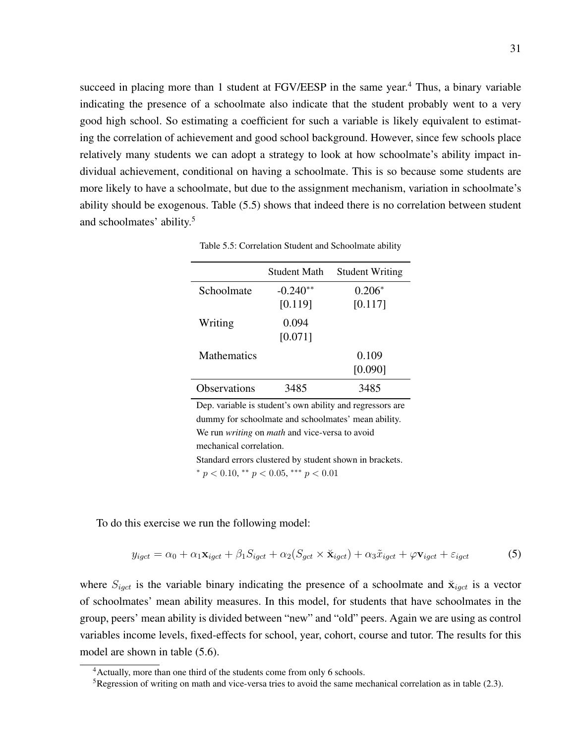succeed in placing more than 1 student at  $FGV/EESP$  in the same year.<sup>4</sup> Thus, a binary variable indicating the presence of a schoolmate also indicate that the student probably went to a very good high school. So estimating a coefficient for such a variable is likely equivalent to estimating the correlation of achievement and good school background. However, since few schools place relatively many students we can adopt a strategy to look at how schoolmate's ability impact individual achievement, conditional on having a schoolmate. This is so because some students are more likely to have a schoolmate, but due to the assignment mechanism, variation in schoolmate's ability should be exogenous. Table (5.5) shows that indeed there is no correlation between student and schoolmates' ability.<sup>5</sup>

|                     | Student Math | <b>Student Writing</b> |
|---------------------|--------------|------------------------|
| Schoolmate          | $-0.240**$   | $0.206*$               |
|                     | [0.119]      | [0.117]                |
| Writing             | 0.094        |                        |
|                     | [0.071]      |                        |
| <b>Mathematics</b>  |              | 0.109                  |
|                     |              | [0.090]                |
| <b>Observations</b> | 3485         | 3485                   |

Table 5.5: Correlation Student and Schoolmate ability

Dep. variable is student's own ability and regressors are dummy for schoolmate and schoolmates' mean ability. We run *writing* on *math* and vice-versa to avoid mechanical correlation. Standard errors clustered by student shown in brackets. \*  $p < 0.10$ , \*\*  $p < 0.05$ , \*\*\*  $p < 0.01$ 

To do this exercise we run the following model:

$$
y_{igct} = \alpha_0 + \alpha_1 \mathbf{x}_{igct} + \beta_1 S_{igct} + \alpha_2 (S_{gct} \times \mathbf{\breve{x}}_{igct}) + \alpha_3 \tilde{x}_{igct} + \varphi \mathbf{v}_{igct} + \varepsilon_{igct}
$$
 (5)

where  $S_{i qct}$  is the variable binary indicating the presence of a schoolmate and  $\ddot{\mathbf{x}}_{i qct}$  is a vector of schoolmates' mean ability measures. In this model, for students that have schoolmates in the group, peers' mean ability is divided between "new" and "old" peers. Again we are using as control variables income levels, fixed-effects for school, year, cohort, course and tutor. The results for this model are shown in table (5.6).

<sup>&</sup>lt;sup>4</sup> Actually, more than one third of the students come from only 6 schools.

<sup>&</sup>lt;sup>5</sup>Regression of writing on math and vice-versa tries to avoid the same mechanical correlation as in table (2.3).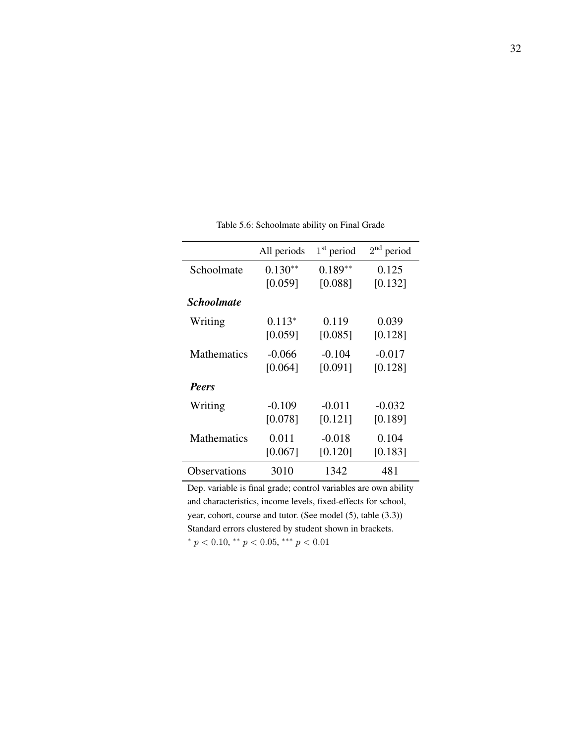|                          | All periods | $1st$ period | $2nd$ period |
|--------------------------|-------------|--------------|--------------|
| Schoolmate               | $0.130**$   | $0.189**$    | 0.125        |
|                          | [0.059]     | [0.088]      | [0.132]      |
| <i><b>Schoolmate</b></i> |             |              |              |
| Writing                  | $0.113*$    | 0.119        | 0.039        |
|                          | [0.059]     | [0.085]      | [0.128]      |
| <b>Mathematics</b>       | $-0.066$    | $-0.104$     | $-0.017$     |
|                          | [0.064]     | [0.091]      | [0.128]      |
| <b>Peers</b>             |             |              |              |
| Writing                  | $-0.109$    | $-0.011$     | $-0.032$     |
|                          | [0.078]     | [0.121]      | [0.189]      |
| <b>Mathematics</b>       | 0.011       | $-0.018$     | 0.104        |
|                          | [0.067]     | [0.120]      | [0.183]      |
| Observations             | 3010        | 1342         | 481          |

Table 5.6: Schoolmate ability on Final Grade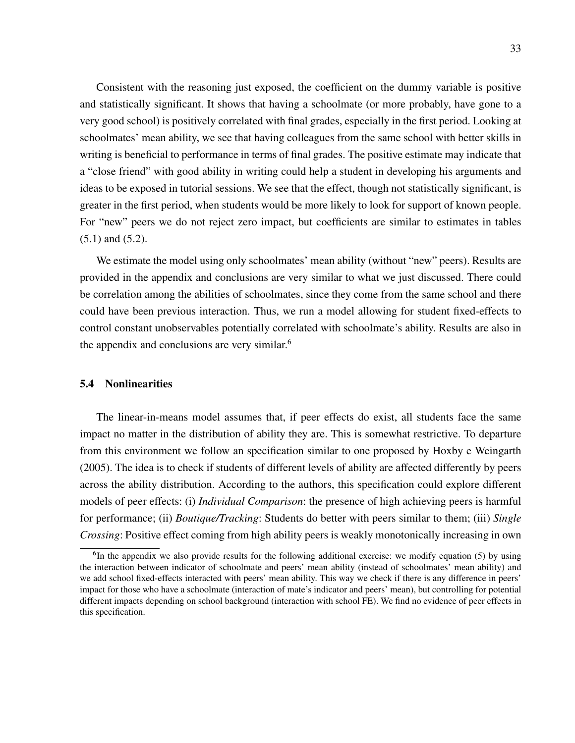Consistent with the reasoning just exposed, the coefficient on the dummy variable is positive and statistically significant. It shows that having a schoolmate (or more probably, have gone to a very good school) is positively correlated with final grades, especially in the first period. Looking at schoolmates' mean ability, we see that having colleagues from the same school with better skills in writing is beneficial to performance in terms of final grades. The positive estimate may indicate that a "close friend" with good ability in writing could help a student in developing his arguments and ideas to be exposed in tutorial sessions. We see that the effect, though not statistically significant, is greater in the first period, when students would be more likely to look for support of known people. For "new" peers we do not reject zero impact, but coefficients are similar to estimates in tables (5.1) and (5.2).

We estimate the model using only schoolmates' mean ability (without "new" peers). Results are provided in the appendix and conclusions are very similar to what we just discussed. There could be correlation among the abilities of schoolmates, since they come from the same school and there could have been previous interaction. Thus, we run a model allowing for student fixed-effects to control constant unobservables potentially correlated with schoolmate's ability. Results are also in the appendix and conclusions are very similar.<sup>6</sup>

### 5.4 Nonlinearities

The linear-in-means model assumes that, if peer effects do exist, all students face the same impact no matter in the distribution of ability they are. This is somewhat restrictive. To departure from this environment we follow an specification similar to one proposed by Hoxby e Weingarth (2005). The idea is to check if students of different levels of ability are affected differently by peers across the ability distribution. According to the authors, this specification could explore different models of peer effects: (i) *Individual Comparison*: the presence of high achieving peers is harmful for performance; (ii) *Boutique/Tracking*: Students do better with peers similar to them; (iii) *Single Crossing*: Positive effect coming from high ability peers is weakly monotonically increasing in own

<sup>&</sup>lt;sup>6</sup>In the appendix we also provide results for the following additional exercise: we modify equation (5) by using the interaction between indicator of schoolmate and peers' mean ability (instead of schoolmates' mean ability) and we add school fixed-effects interacted with peers' mean ability. This way we check if there is any difference in peers' impact for those who have a schoolmate (interaction of mate's indicator and peers' mean), but controlling for potential different impacts depending on school background (interaction with school FE). We find no evidence of peer effects in this specification.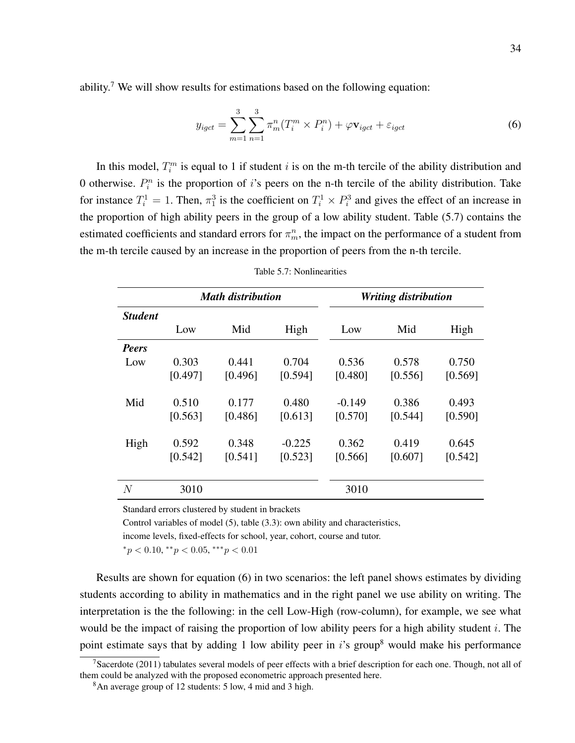ability.<sup>7</sup> We will show results for estimations based on the following equation:

$$
y_{igct} = \sum_{m=1}^{3} \sum_{n=1}^{3} \pi_m^n (T_i^m \times P_i^n) + \varphi \mathbf{v}_{igct} + \varepsilon_{igct}
$$
(6)

In this model,  $T_i^m$  is equal to 1 if student i is on the m-th tercile of the ability distribution and 0 otherwise.  $P_i^n$  is the proportion of i's peers on the n-th tercile of the ability distribution. Take for instance  $T_i^1 = 1$ . Then,  $\pi_1^3$  is the coefficient on  $T_i^1 \times P_i^3$  and gives the effect of an increase in the proportion of high ability peers in the group of a low ability student. Table (5.7) contains the estimated coefficients and standard errors for  $\pi_m^n$ , the impact on the performance of a student from the m-th tercile caused by an increase in the proportion of peers from the n-th tercile.

|         |         |          | <b>Math distribution</b><br><b>Writing distribution</b> |         |         |  |  |
|---------|---------|----------|---------------------------------------------------------|---------|---------|--|--|
|         |         |          |                                                         |         |         |  |  |
| Low     | Mid     | High     | Low                                                     | Mid     | High    |  |  |
|         |         |          |                                                         |         |         |  |  |
| 0.303   | 0.441   | 0.704    | 0.536                                                   | 0.578   | 0.750   |  |  |
| [0.497] | [0.496] | [0.594]  | [0.480]                                                 | [0.556] | [0.569] |  |  |
| 0.510   | 0.177   | 0.480    | $-0.149$                                                | 0.386   | 0.493   |  |  |
| [0.563] | [0.486] | [0.613]  | [0.570]                                                 | [0.544] | [0.590] |  |  |
| 0.592   | 0.348   | $-0.225$ | 0.362                                                   | 0.419   | 0.645   |  |  |
| [0.542] | [0.541] | [0.523]  | [0.566]                                                 | [0.607] | [0.542] |  |  |
| 3010    |         |          | 3010                                                    |         |         |  |  |
|         |         |          |                                                         |         |         |  |  |

| Table 5.7: Nonlinearities |  |  |  |  |
|---------------------------|--|--|--|--|
|---------------------------|--|--|--|--|

Standard errors clustered by student in brackets

Control variables of model (5), table (3.3): own ability and characteristics,

income levels, fixed-effects for school, year, cohort, course and tutor.

 ${}^*p$  < 0.10,  ${}^*p$  < 0.05,  ${}^*{}^*p$  < 0.01

Results are shown for equation (6) in two scenarios: the left panel shows estimates by dividing students according to ability in mathematics and in the right panel we use ability on writing. The interpretation is the the following: in the cell Low-High (row-column), for example, we see what would be the impact of raising the proportion of low ability peers for a high ability student  $i$ . The point estimate says that by adding 1 low ability peer in  $i$ 's group<sup>8</sup> would make his performance

<sup>&</sup>lt;sup>7</sup>Sacerdote (2011) tabulates several models of peer effects with a brief description for each one. Though, not all of them could be analyzed with the proposed econometric approach presented here.

<sup>8</sup>An average group of 12 students: 5 low, 4 mid and 3 high.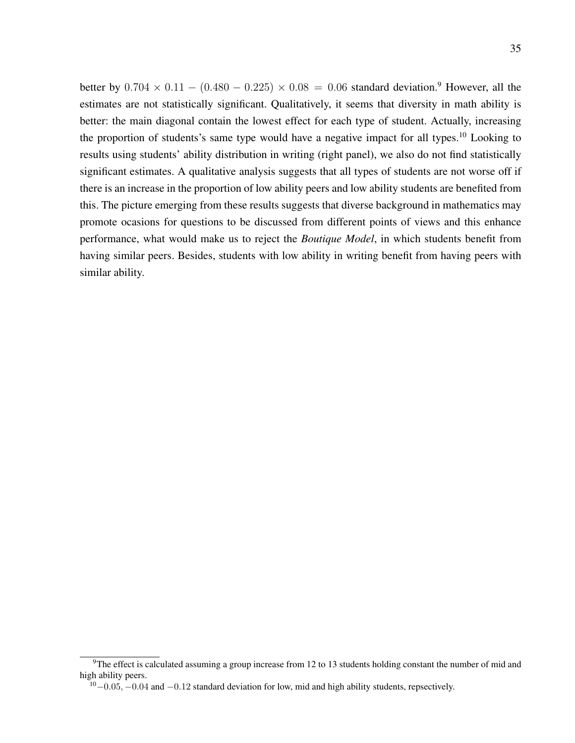better by  $0.704 \times 0.11 - (0.480 - 0.225) \times 0.08 = 0.06$  standard deviation.<sup>9</sup> However, all the estimates are not statistically significant. Qualitatively, it seems that diversity in math ability is better: the main diagonal contain the lowest effect for each type of student. Actually, increasing the proportion of students's same type would have a negative impact for all types.<sup>10</sup> Looking to results using students' ability distribution in writing (right panel), we also do not find statistically significant estimates. A qualitative analysis suggests that all types of students are not worse off if there is an increase in the proportion of low ability peers and low ability students are benefited from this. The picture emerging from these results suggests that diverse background in mathematics may promote ocasions for questions to be discussed from different points of views and this enhance performance, what would make us to reject the *Boutique Model*, in which students benefit from having similar peers. Besides, students with low ability in writing benefit from having peers with similar ability.

<sup>&</sup>lt;sup>9</sup>The effect is calculated assuming a group increase from 12 to 13 students holding constant the number of mid and high ability peers.

 $10-0.05, -0.04$  and  $-0.12$  standard deviation for low, mid and high ability students, repsectively.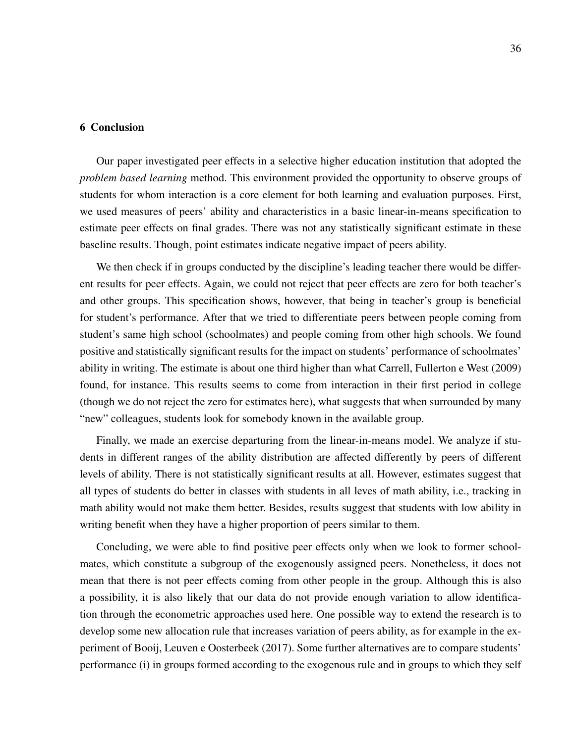#### 6 Conclusion

Our paper investigated peer effects in a selective higher education institution that adopted the *problem based learning* method. This environment provided the opportunity to observe groups of students for whom interaction is a core element for both learning and evaluation purposes. First, we used measures of peers' ability and characteristics in a basic linear-in-means specification to estimate peer effects on final grades. There was not any statistically significant estimate in these baseline results. Though, point estimates indicate negative impact of peers ability.

We then check if in groups conducted by the discipline's leading teacher there would be different results for peer effects. Again, we could not reject that peer effects are zero for both teacher's and other groups. This specification shows, however, that being in teacher's group is beneficial for student's performance. After that we tried to differentiate peers between people coming from student's same high school (schoolmates) and people coming from other high schools. We found positive and statistically significant results for the impact on students' performance of schoolmates' ability in writing. The estimate is about one third higher than what Carrell, Fullerton e West (2009) found, for instance. This results seems to come from interaction in their first period in college (though we do not reject the zero for estimates here), what suggests that when surrounded by many "new" colleagues, students look for somebody known in the available group.

Finally, we made an exercise departuring from the linear-in-means model. We analyze if students in different ranges of the ability distribution are affected differently by peers of different levels of ability. There is not statistically significant results at all. However, estimates suggest that all types of students do better in classes with students in all leves of math ability, i.e., tracking in math ability would not make them better. Besides, results suggest that students with low ability in writing benefit when they have a higher proportion of peers similar to them.

Concluding, we were able to find positive peer effects only when we look to former schoolmates, which constitute a subgroup of the exogenously assigned peers. Nonetheless, it does not mean that there is not peer effects coming from other people in the group. Although this is also a possibility, it is also likely that our data do not provide enough variation to allow identification through the econometric approaches used here. One possible way to extend the research is to develop some new allocation rule that increases variation of peers ability, as for example in the experiment of Booij, Leuven e Oosterbeek (2017). Some further alternatives are to compare students' performance (i) in groups formed according to the exogenous rule and in groups to which they self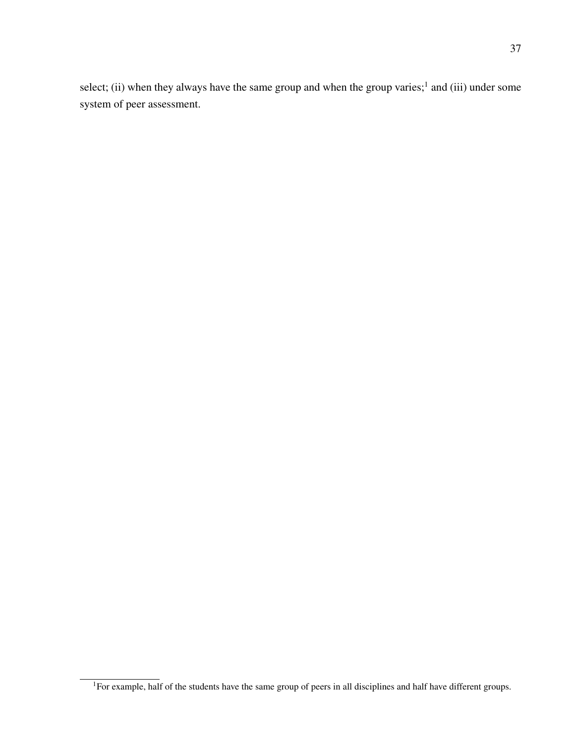select; (ii) when they always have the same group and when the group varies;<sup>1</sup> and (iii) under some system of peer assessment.

<sup>&</sup>lt;sup>1</sup>For example, half of the students have the same group of peers in all disciplines and half have different groups.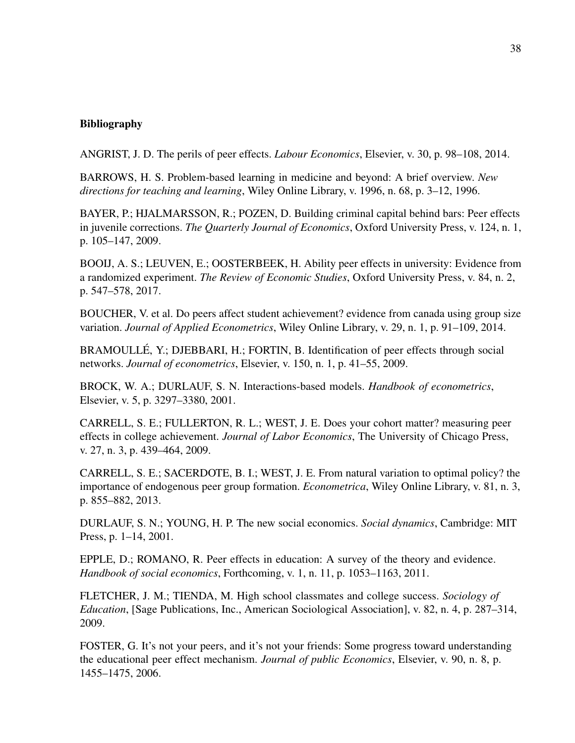### Bibliography

ANGRIST, J. D. The perils of peer effects. *Labour Economics*, Elsevier, v. 30, p. 98–108, 2014.

BARROWS, H. S. Problem-based learning in medicine and beyond: A brief overview. *New directions for teaching and learning*, Wiley Online Library, v. 1996, n. 68, p. 3–12, 1996.

BAYER, P.; HJALMARSSON, R.; POZEN, D. Building criminal capital behind bars: Peer effects in juvenile corrections. *The Quarterly Journal of Economics*, Oxford University Press, v. 124, n. 1, p. 105–147, 2009.

BOOIJ, A. S.; LEUVEN, E.; OOSTERBEEK, H. Ability peer effects in university: Evidence from a randomized experiment. *The Review of Economic Studies*, Oxford University Press, v. 84, n. 2, p. 547–578, 2017.

BOUCHER, V. et al. Do peers affect student achievement? evidence from canada using group size variation. *Journal of Applied Econometrics*, Wiley Online Library, v. 29, n. 1, p. 91–109, 2014.

BRAMOULLÉ, Y.; DJEBBARI, H.; FORTIN, B. Identification of peer effects through social networks. *Journal of econometrics*, Elsevier, v. 150, n. 1, p. 41–55, 2009.

BROCK, W. A.; DURLAUF, S. N. Interactions-based models. *Handbook of econometrics*, Elsevier, v. 5, p. 3297–3380, 2001.

CARRELL, S. E.; FULLERTON, R. L.; WEST, J. E. Does your cohort matter? measuring peer effects in college achievement. *Journal of Labor Economics*, The University of Chicago Press, v. 27, n. 3, p. 439–464, 2009.

CARRELL, S. E.; SACERDOTE, B. I.; WEST, J. E. From natural variation to optimal policy? the importance of endogenous peer group formation. *Econometrica*, Wiley Online Library, v. 81, n. 3, p. 855–882, 2013.

DURLAUF, S. N.; YOUNG, H. P. The new social economics. *Social dynamics*, Cambridge: MIT Press, p. 1–14, 2001.

EPPLE, D.; ROMANO, R. Peer effects in education: A survey of the theory and evidence. *Handbook of social economics*, Forthcoming, v. 1, n. 11, p. 1053–1163, 2011.

FLETCHER, J. M.; TIENDA, M. High school classmates and college success. *Sociology of Education*, [Sage Publications, Inc., American Sociological Association], v. 82, n. 4, p. 287–314, 2009.

FOSTER, G. It's not your peers, and it's not your friends: Some progress toward understanding the educational peer effect mechanism. *Journal of public Economics*, Elsevier, v. 90, n. 8, p. 1455–1475, 2006.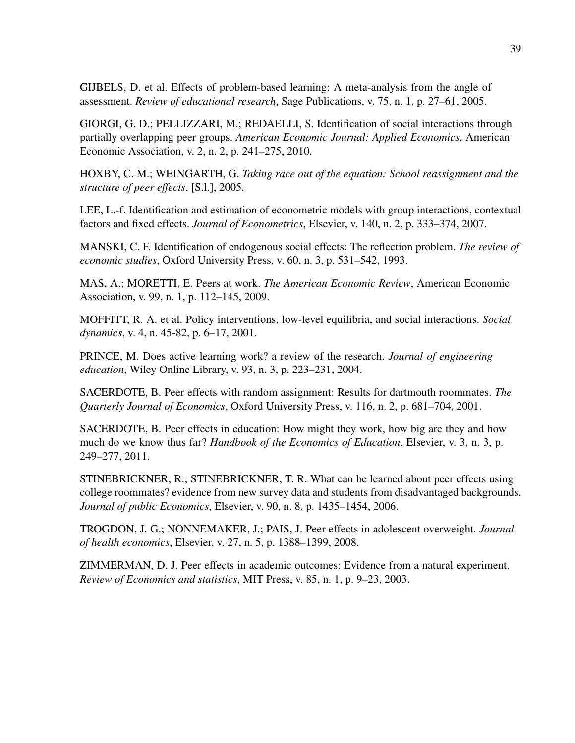GIJBELS, D. et al. Effects of problem-based learning: A meta-analysis from the angle of assessment. *Review of educational research*, Sage Publications, v. 75, n. 1, p. 27–61, 2005.

GIORGI, G. D.; PELLIZZARI, M.; REDAELLI, S. Identification of social interactions through partially overlapping peer groups. *American Economic Journal: Applied Economics*, American Economic Association, v. 2, n. 2, p. 241–275, 2010.

HOXBY, C. M.; WEINGARTH, G. *Taking race out of the equation: School reassignment and the structure of peer effects*. [S.l.], 2005.

LEE, L.-f. Identification and estimation of econometric models with group interactions, contextual factors and fixed effects. *Journal of Econometrics*, Elsevier, v. 140, n. 2, p. 333–374, 2007.

MANSKI, C. F. Identification of endogenous social effects: The reflection problem. *The review of economic studies*, Oxford University Press, v. 60, n. 3, p. 531–542, 1993.

MAS, A.; MORETTI, E. Peers at work. *The American Economic Review*, American Economic Association, v. 99, n. 1, p. 112–145, 2009.

MOFFITT, R. A. et al. Policy interventions, low-level equilibria, and social interactions. *Social dynamics*, v. 4, n. 45-82, p. 6–17, 2001.

PRINCE, M. Does active learning work? a review of the research. *Journal of engineering education*, Wiley Online Library, v. 93, n. 3, p. 223–231, 2004.

SACERDOTE, B. Peer effects with random assignment: Results for dartmouth roommates. *The Quarterly Journal of Economics*, Oxford University Press, v. 116, n. 2, p. 681–704, 2001.

SACERDOTE, B. Peer effects in education: How might they work, how big are they and how much do we know thus far? *Handbook of the Economics of Education*, Elsevier, v. 3, n. 3, p. 249–277, 2011.

STINEBRICKNER, R.; STINEBRICKNER, T. R. What can be learned about peer effects using college roommates? evidence from new survey data and students from disadvantaged backgrounds. *Journal of public Economics*, Elsevier, v. 90, n. 8, p. 1435–1454, 2006.

TROGDON, J. G.; NONNEMAKER, J.; PAIS, J. Peer effects in adolescent overweight. *Journal of health economics*, Elsevier, v. 27, n. 5, p. 1388–1399, 2008.

ZIMMERMAN, D. J. Peer effects in academic outcomes: Evidence from a natural experiment. *Review of Economics and statistics*, MIT Press, v. 85, n. 1, p. 9–23, 2003.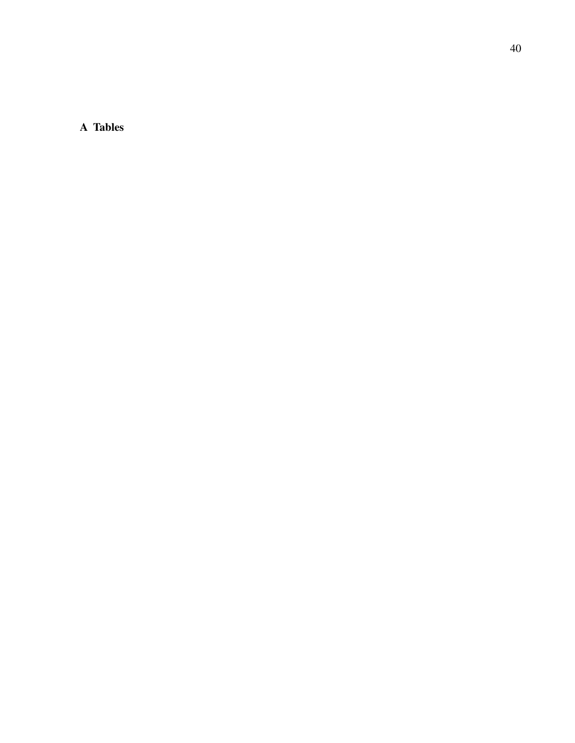A Tables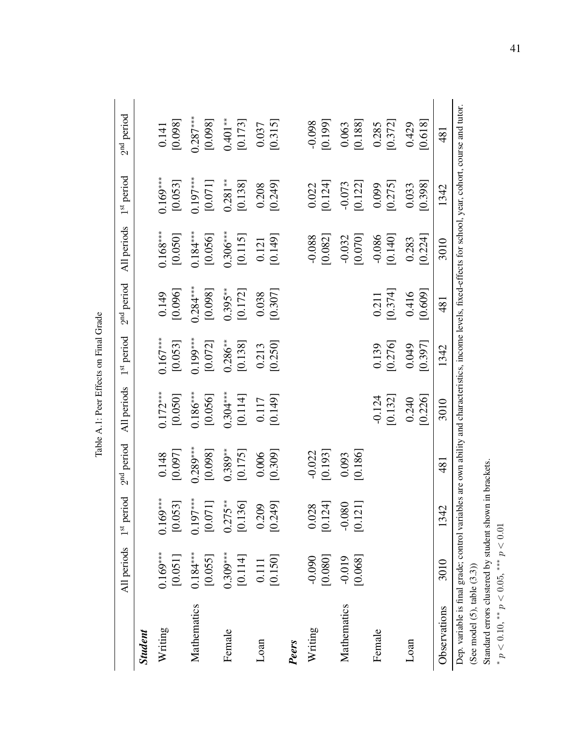| ain<br>F         |  |
|------------------|--|
| ř<br>$+20$       |  |
| Į<br>$\tilde{c}$ |  |
|                  |  |
| ï                |  |

|                                            | All periods             | $1st period$                | 2 <sup>nd</sup> period | All periods           | 1 <sup>st</sup> period | 2 <sup>nd</sup> period | All periods           | 1 <sup>st</sup> period | 2 <sup>nd</sup> period                                                                                              |
|--------------------------------------------|-------------------------|-----------------------------|------------------------|-----------------------|------------------------|------------------------|-----------------------|------------------------|---------------------------------------------------------------------------------------------------------------------|
| <b>Student</b>                             |                         |                             |                        |                       |                        |                        |                       |                        |                                                                                                                     |
| Writing                                    | $0.169***$<br>$[0.051]$ | $0.169***$<br>[0.053]       | [0.097]<br>0.148       | $0.172***$<br>[0.050] | $0.167***$<br>[0.053]  | [0.096]<br>0.149       | $0.168***$<br>[0.050] | $0.169***$<br>[0.053]  | [0.098]<br>0.141                                                                                                    |
| Mathematics                                | $0.184***$<br>[0.055]   | $0.197***$<br>$[0.071]$     | $0.289***$<br>[0.098]  | $0.186***$<br>[0.056] | $0.199***$<br>[0.072]  | $0.284***$<br>[0.098]  | $0.184***$<br>[0.056] | $0.197***$<br>[0.071]  | $0.287***$<br>[0.098]                                                                                               |
| Female                                     | $0.309***$<br>[0.114]   | $5$ **<br>[0.136]<br>0.27   | $0.389***$<br>[0.175]  | $0.304***$<br>[0.114] | $0.286***$<br>[0.138]  | $0.395***$<br>[0.172]  | $0.306***$<br>[0.115] | $0.281***$<br>[0.138]  | $0.401***$<br>[0.173]                                                                                               |
| Loan                                       | [0.150]<br>0.111        | [0.209]                     | [0.309]<br>0.006       | [0.149]<br>0.117      | [0.250]<br>0.213       | [0.307]<br>0.038       | [0.149]<br>0.121      | [0.249]<br>0.208       | [0.315]<br>0.037                                                                                                    |
| Peers                                      |                         |                             |                        |                       |                        |                        |                       |                        |                                                                                                                     |
| Writing                                    | [0.080]<br>$-0.090$     | $0.028$<br>[0.124]          | [0.193]<br>$-0.022$    |                       |                        |                        | $-0.088$<br>[0.082]   | [0.124]<br>0.022       | [0.199]<br>$860^{0}$                                                                                                |
| Mathematics                                | [0.068]<br>$-0.019$     | [0.121]<br>980<br>$-0.0$    | [0.186]<br>0.093       |                       |                        |                        | [0.070]<br>$-0.032$   | [0.122]<br>$-0.073$    | [0.188]<br>0.063                                                                                                    |
| Female                                     |                         |                             |                        | $-0.124$<br>[0.132]   | [0.276]<br>0.139       | [0.374]<br>0.211       | [0.140]<br>$-0.086$   | [0.275]<br>0.099       | [0.372]<br>0.285                                                                                                    |
| Loan                                       |                         |                             |                        | [0.226]<br>0.240      | [0.397]<br>0.049       | [0.609]<br>0.416       | [0.224]<br>0.283      | [0.398]<br>0.033       | [0.618]<br>0.429                                                                                                    |
| Observations                               | 3010                    | $\overline{4}$<br>$\vec{c}$ | $\overline{48}$        | 3010                  | 1342                   | 481                    | 3010                  | 1342                   | 481                                                                                                                 |
| Dep. variable is final grade; control vari |                         |                             |                        |                       |                        |                        |                       |                        | ables are own ability and characteristics, income levels, fixed-effects for school, year, cohort, course and tutor. |

(See model (5), table (3.3)) (See model (5), table (3.3))<br>Standard errors clustered by student shown in brackets.<br>\*  $p < 0.10$ , \*\*  $p < 0.05$ , \*\*\*  $p < 0.01$ 

Standard errors clustered by student shown in brackets.

 $p < 0.10$ , \*\*  $p < 0.05$ , \*\*\*  $p < 0.01$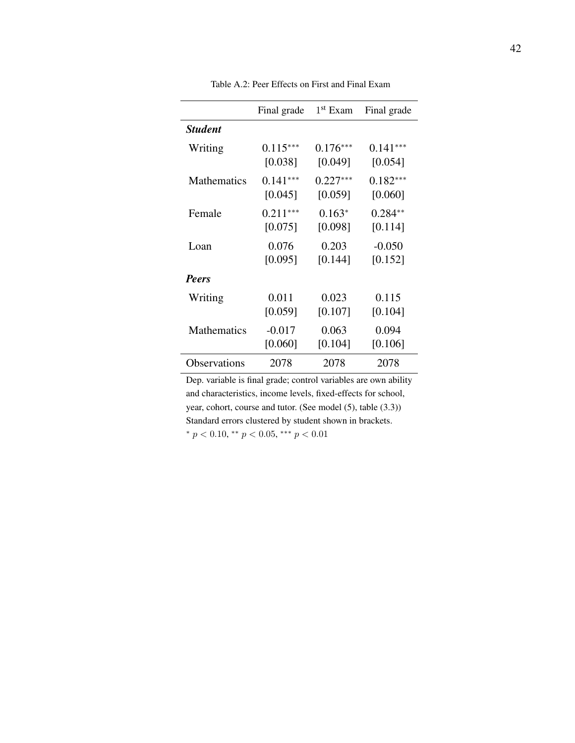|                    | Final grade | $1st$ Exam | Final grade |
|--------------------|-------------|------------|-------------|
| <b>Student</b>     |             |            |             |
| Writing            | $0.115***$  | $0.176***$ | $0.141***$  |
|                    | [0.038]     | [0.049]    | [0.054]     |
| <b>Mathematics</b> | $0.141***$  | $0.227***$ | $0.182***$  |
|                    | [0.045]     | [0.059]    | [0.060]     |
| Female             | $0.211***$  | $0.163*$   | $0.284**$   |
|                    | [0.075]     | [0.098]    | [0.114]     |
| Loan               | 0.076       | 0.203      | $-0.050$    |
|                    | [0.095]     | [0.144]    | [0.152]     |
| <b>Peers</b>       |             |            |             |
| Writing            | 0.011       | 0.023      | 0.115       |
|                    | [0.059]     | [0.107]    | [0.104]     |
| <b>Mathematics</b> | $-0.017$    | 0.063      | 0.094       |
|                    | [0.060]     | [0.104]    | [0.106]     |
| Observations       | 2078        | 2078       | 2078        |

Table A.2: Peer Effects on First and Final Exam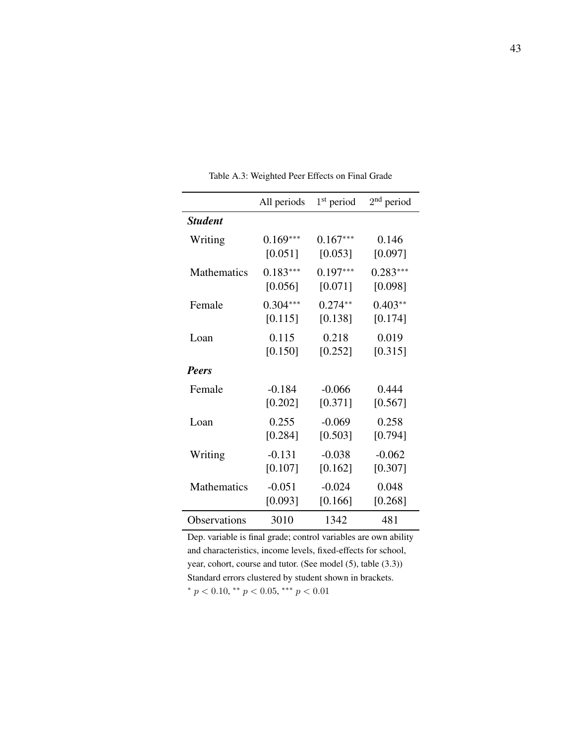|                    | All periods | $1st$ period | $2nd$ period |
|--------------------|-------------|--------------|--------------|
| <b>Student</b>     |             |              |              |
| Writing            | $0.169***$  | $0.167***$   | 0.146        |
|                    | [0.051]     | [0.053]      | [0.097]      |
| Mathematics        | $0.183***$  | $0.197***$   | $0.283***$   |
|                    | [0.056]     | [0.071]      | [0.098]      |
| Female             | $0.304***$  | $0.274**$    | $0.403**$    |
|                    | [0.115]     | [0.138]      | [0.174]      |
| Loan               | 0.115       | 0.218        | 0.019        |
|                    | [0.150]     | [0.252]      | [0.315]      |
| <b>Peers</b>       |             |              |              |
| Female             | $-0.184$    | $-0.066$     | 0.444        |
|                    | [0.202]     | [0.371]      | [0.567]      |
| Loan               | 0.255       | $-0.069$     | 0.258        |
|                    | [0.284]     | [0.503]      | [0.794]      |
| Writing            | $-0.131$    | $-0.038$     | $-0.062$     |
|                    | [0.107]     | [0.162]      | [0.307]      |
| <b>Mathematics</b> | $-0.051$    | $-0.024$     | 0.048        |
|                    | [0.093]     | [0.166]      | [0.268]      |
| Observations       | 3010        | 1342         | 481          |

Table A.3: Weighted Peer Effects on Final Grade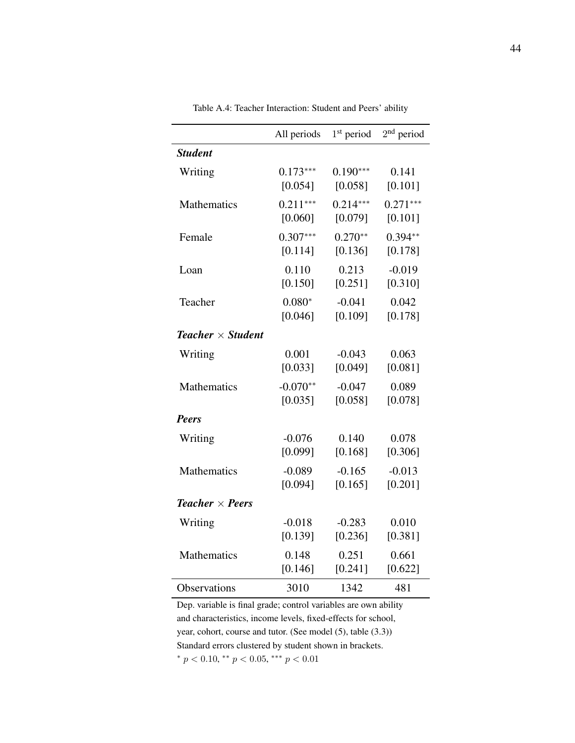|                                      | All periods | $1st$ period | $2nd$ period |
|--------------------------------------|-------------|--------------|--------------|
| <b>Student</b>                       |             |              |              |
| Writing                              | $0.173***$  | $0.190***$   | 0.141        |
|                                      | [0.054]     | [0.058]      | [0.101]      |
| Mathematics                          | $0.211***$  | $0.214***$   | $0.271***$   |
|                                      | [0.060]     | [0.079]      | [0.101]      |
| Female                               | $0.307***$  | $0.270**$    | $0.394**$    |
|                                      | [0.114]     | [0.136]      | [0.178]      |
| Loan                                 | 0.110       | 0.213        | $-0.019$     |
|                                      | [0.150]     | [0.251]      | [0.310]      |
| Teacher                              | $0.080*$    | $-0.041$     | 0.042        |
|                                      | [0.046]     | [0.109]      | [0.178]      |
| <b>Teacher</b> $\times$ Student      |             |              |              |
| Writing                              | 0.001       | $-0.043$     | 0.063        |
|                                      | [0.033]     | [0.049]      | [0.081]      |
| <b>Mathematics</b>                   | $-0.070**$  | $-0.047$     | 0.089        |
|                                      | [0.035]     | [0.058]      | [0.078]      |
| <b>Peers</b>                         |             |              |              |
| Writing                              | $-0.076$    | 0.140        | 0.078        |
|                                      | [0.099]     | [0.168]      | [0.306]      |
| <b>Mathematics</b>                   | $-0.089$    | $-0.165$     | $-0.013$     |
|                                      | [0.094]     | [0.165]      | [0.201]      |
| <b>Teacher</b> $\times$ <b>Peers</b> |             |              |              |
| Writing                              | $-0.018$    | $-0.283$     | 0.010        |
|                                      | [0.139]     | [0.236]      | [0.381]      |
| Mathematics                          | 0.148       | 0.251        | 0.661        |
|                                      | [0.146]     | [0.241]      | [0.622]      |
| Observations                         | 3010        | 1342         | 481          |

Table A.4: Teacher Interaction: Student and Peers' ability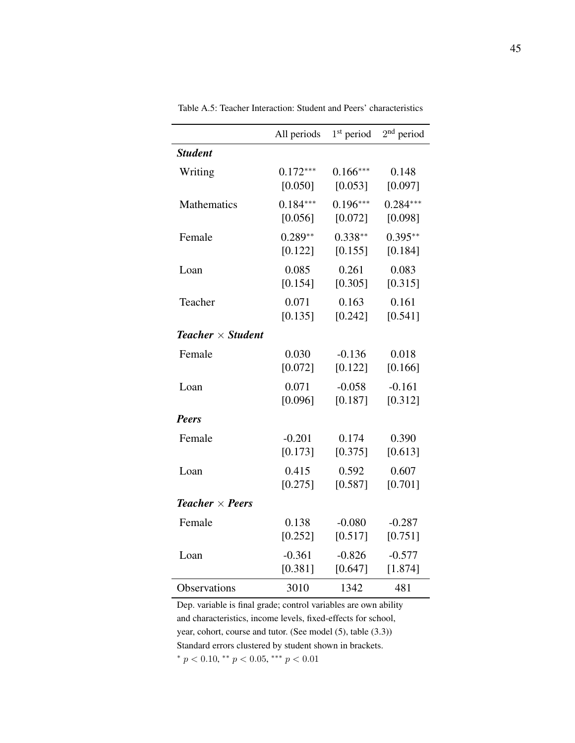|                                      | All periods | $1st$ period | $2nd$ period |
|--------------------------------------|-------------|--------------|--------------|
| <b>Student</b>                       |             |              |              |
| Writing                              | $0.172***$  | $0.166***$   | 0.148        |
|                                      | [0.050]     | [0.053]      | [0.097]      |
| Mathematics                          | $0.184***$  | $0.196***$   | $0.284***$   |
|                                      | [0.056]     | [0.072]      | [0.098]      |
| Female                               | $0.289**$   | $0.338**$    | $0.395**$    |
|                                      | [0.122]     | [0.155]      | [0.184]      |
| Loan                                 | 0.085       | 0.261        | 0.083        |
|                                      | [0.154]     | [0.305]      | [0.315]      |
| Teacher                              | 0.071       | 0.163        | 0.161        |
|                                      | [0.135]     | [0.242]      | [0.541]      |
| <b>Teacher</b> $\times$ Student      |             |              |              |
| Female                               | 0.030       | $-0.136$     | 0.018        |
|                                      | [0.072]     | [0.122]      | [0.166]      |
| Loan                                 | 0.071       | $-0.058$     | $-0.161$     |
|                                      | [0.096]     | [0.187]      | [0.312]      |
| <b>Peers</b>                         |             |              |              |
| Female                               | $-0.201$    | 0.174        | 0.390        |
|                                      | [0.173]     | [0.375]      | [0.613]      |
| Loan                                 | 0.415       | 0.592        | 0.607        |
|                                      | [0.275]     | [0.587]      | [0.701]      |
| <b>Teacher</b> $\times$ <b>Peers</b> |             |              |              |
| Female                               | 0.138       | $-0.080$     | $-0.287$     |
|                                      | [0.252]     | [0.517]      | [0.751]      |
| Loan                                 | $-0.361$    | $-0.826$     | $-0.577$     |
|                                      | [0.381]     | [0.647]      | [1.874]      |
| Observations                         | 3010        | 1342         | 481          |

Table A.5: Teacher Interaction: Student and Peers' characteristics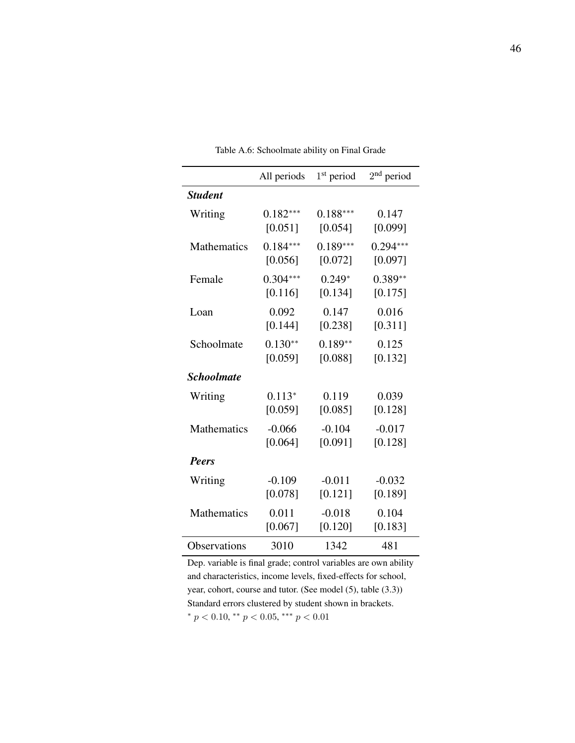|                   | All periods | $1st$ period | $2nd$ period |
|-------------------|-------------|--------------|--------------|
| <b>Student</b>    |             |              |              |
| Writing           | $0.182***$  | $0.188***$   | 0.147        |
|                   | [0.051]     | [0.054]      | [0.099]      |
| Mathematics       | $0.184***$  | $0.189***$   | $0.294***$   |
|                   | [0.056]     | [0.072]      | [0.097]      |
| Female            | $0.304***$  | $0.249*$     | $0.389**$    |
|                   | [0.116]     | [0.134]      | [0.175]      |
| Loan              | 0.092       | 0.147        | 0.016        |
|                   | [0.144]     | [0.238]      | [0.311]      |
| Schoolmate        | $0.130**$   | $0.189**$    | 0.125        |
|                   | [0.059]     | [0.088]      | [0.132]      |
| <b>Schoolmate</b> |             |              |              |
| Writing           | $0.113*$    | 0.119        | 0.039        |
|                   | [0.059]     | [0.085]      | [0.128]      |
| Mathematics       | $-0.066$    | $-0.104$     | $-0.017$     |
|                   | [0.064]     | [0.091]      | [0.128]      |
| <b>Peers</b>      |             |              |              |
| Writing           | $-0.109$    | $-0.011$     | $-0.032$     |
|                   | [0.078]     | [0.121]      | [0.189]      |
| Mathematics       | 0.011       | $-0.018$     | 0.104        |
|                   | [0.067]     | [0.120]      | [0.183]      |
| Observations      | 3010        | 1342         | 481          |

Table A.6: Schoolmate ability on Final Grade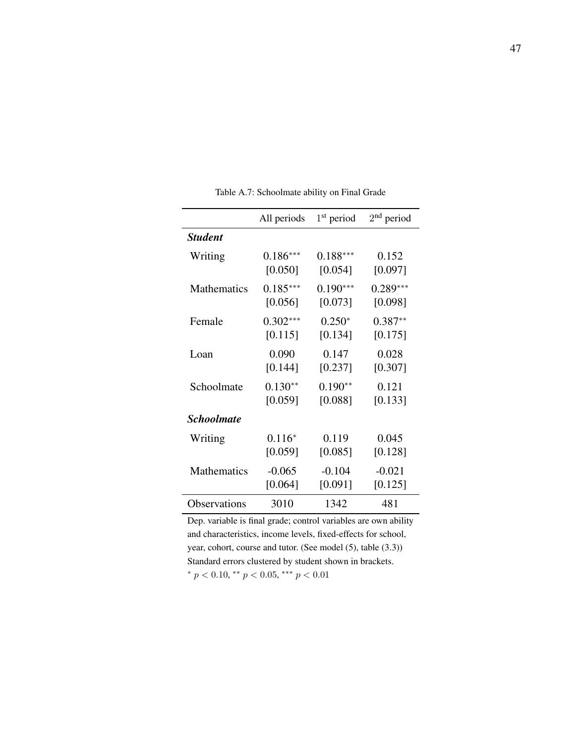|                    | All periods | $1st$ period | $2nd$ period |
|--------------------|-------------|--------------|--------------|
| <b>Student</b>     |             |              |              |
| Writing            | $0.186***$  | $0.188***$   | 0.152        |
|                    | [0.050]     | [0.054]      | [0.097]      |
| <b>Mathematics</b> | $0.185***$  | $0.190***$   | $0.289***$   |
|                    | [0.056]     | [0.073]      | [0.098]      |
| Female             | $0.302***$  | $0.250*$     | $0.387**$    |
|                    | [0.115]     | [0.134]      | [0.175]      |
| Loan               | 0.090       | 0.147        | 0.028        |
|                    | [0.144]     | [0.237]      | [0.307]      |
| Schoolmate         | $0.130**$   | $0.190**$    | 0.121        |
|                    | [0.059]     | [0.088]      | [0.133]      |
| <b>Schoolmate</b>  |             |              |              |
| Writing            | $0.116*$    | 0.119        | 0.045        |
|                    | [0.059]     | [0.085]      | [0.128]      |
| Mathematics        | $-0.065$    | $-0.104$     | $-0.021$     |
|                    | [0.064]     | [0.091]      | [0.125]      |
| Observations       | 3010        | 1342         | 481          |

Table A.7: Schoolmate ability on Final Grade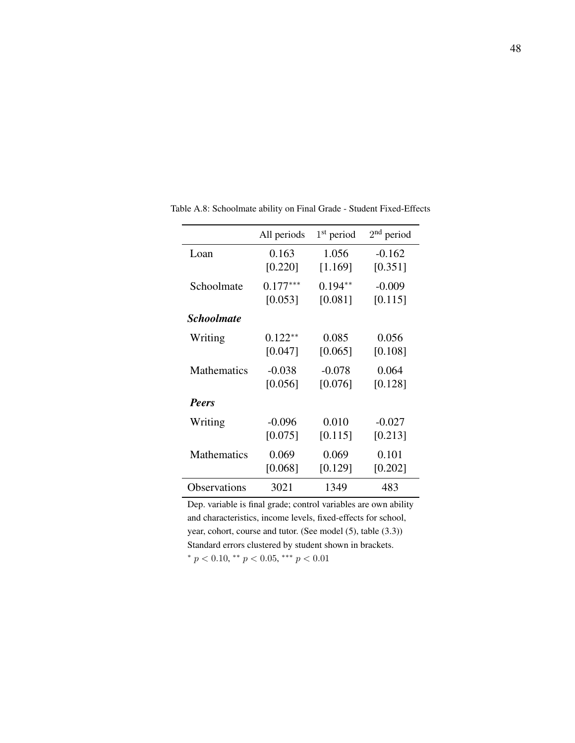|                          | All periods | $1st$ period | $2nd$ period |
|--------------------------|-------------|--------------|--------------|
| Loan                     | 0.163       | 1.056        | $-0.162$     |
|                          | [0.220]     | [1.169]      | [0.351]      |
| Schoolmate               | $0.177***$  | $0.194**$    | $-0.009$     |
|                          | [0.053]     | [0.081]      | [0.115]      |
| <i><b>Schoolmate</b></i> |             |              |              |
| Writing                  | $0.122**$   | 0.085        | 0.056        |
|                          | [0.047]     | [0.065]      | [0.108]      |
| <b>Mathematics</b>       | $-0.038$    | $-0.078$     | 0.064        |
|                          | [0.056]     | [0.076]      | [0.128]      |
| <b>Peers</b>             |             |              |              |
| Writing                  | $-0.096$    | 0.010        | $-0.027$     |
|                          | [0.075]     | [0.115]      | [0.213]      |
| Mathematics              | 0.069       | 0.069        | 0.101        |
|                          | [0.068]     | [0.129]      | [0.202]      |
| Observations             | 3021        | 1349         | 483          |

Table A.8: Schoolmate ability on Final Grade - Student Fixed-Effects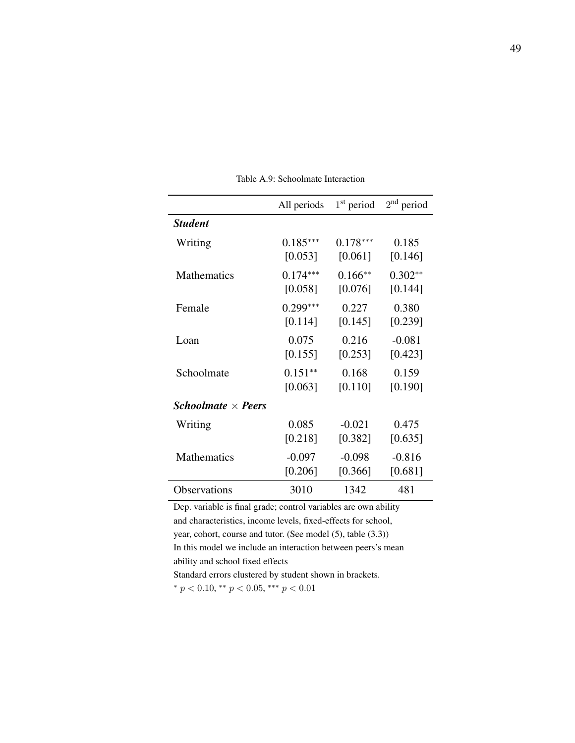|                                         | All periods | $1st$ period | $2nd$ period |
|-----------------------------------------|-------------|--------------|--------------|
| <b>Student</b>                          |             |              |              |
| Writing                                 | $0.185***$  | $0.178***$   | 0.185        |
|                                         | [0.053]     | [0.061]      | [0.146]      |
| <b>Mathematics</b>                      | $0.174***$  | $0.166**$    | $0.302**$    |
|                                         | [0.058]     | [0.076]      | [0.144]      |
| Female                                  | $0.299***$  | 0.227        | 0.380        |
|                                         | [0.114]     | [0.145]      | [0.239]      |
| Loan                                    | 0.075       | 0.216        | $-0.081$     |
|                                         | [0.155]     | [0.253]      | [0.423]      |
| Schoolmate                              | $0.151**$   | 0.168        | 0.159        |
|                                         | [0.063]     | [0.110]      | [0.190]      |
| <i>Schoolmate</i> $\times$ <i>Peers</i> |             |              |              |
| Writing                                 | 0.085       | $-0.021$     | 0.475        |
|                                         | [0.218]     | [0.382]      | [0.635]      |
| Mathematics                             | $-0.097$    | $-0.098$     | $-0.816$     |
|                                         | [0.206]     | [0.366]      | [0.681]      |
| Observations                            | 3010        | 1342         | 481          |

Table A.9: Schoolmate Interaction

Dep. variable is final grade; control variables are own ability and characteristics, income levels, fixed-effects for school, year, cohort, course and tutor. (See model (5), table (3.3)) In this model we include an interaction between peers's mean ability and school fixed effects Standard errors clustered by student shown in brackets.

\*  $p < 0.10$ , \*\*  $p < 0.05$ , \*\*\*  $p < 0.01$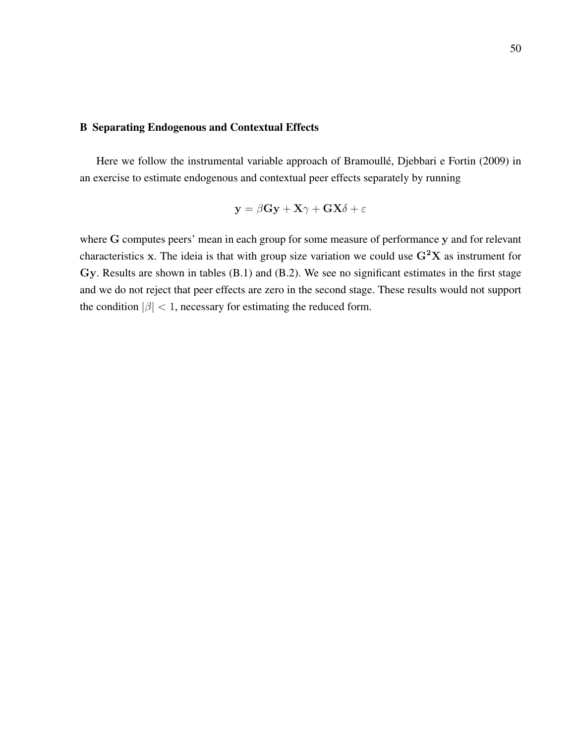### B Separating Endogenous and Contextual Effects

Here we follow the instrumental variable approach of Bramoullé, Djebbari e Fortin (2009) in an exercise to estimate endogenous and contextual peer effects separately by running

$$
\mathbf{y} = \beta \mathbf{G} \mathbf{y} + \mathbf{X} \gamma + \mathbf{G} \mathbf{X} \delta + \varepsilon
$$

where G computes peers' mean in each group for some measure of performance y and for relevant characteristics x. The ideia is that with group size variation we could use  $G^2X$  as instrument for Gy. Results are shown in tables (B.1) and (B.2). We see no significant estimates in the first stage and we do not reject that peer effects are zero in the second stage. These results would not support the condition  $|\beta|$  < 1, necessary for estimating the reduced form.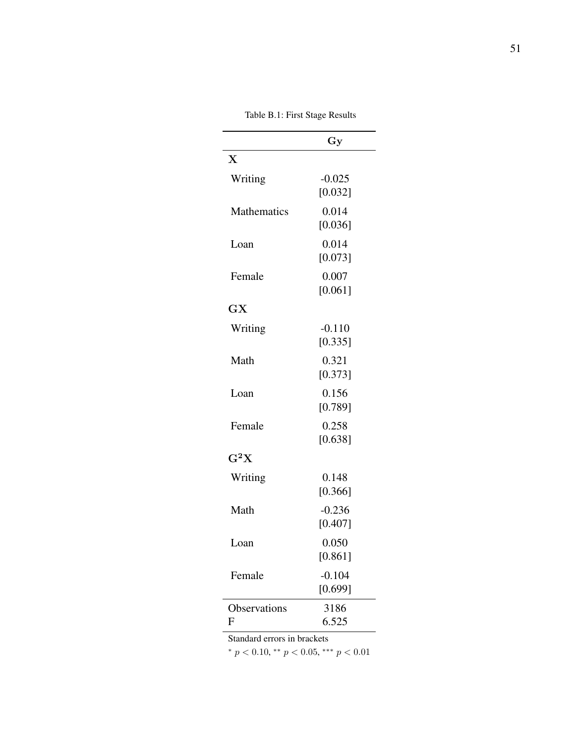|                           | Gу       |
|---------------------------|----------|
| $\boldsymbol{\mathrm{X}}$ |          |
| Writing                   | $-0.025$ |
|                           | [0.032]  |
| Mathematics               | 0.014    |
|                           | [0.036]  |
| Loan                      | 0.014    |
|                           | [0.073]  |
| Female                    | 0.007    |
|                           | [0.061]  |
| GX                        |          |
| Writing                   | $-0.110$ |
|                           | [0.335]  |
| Math                      | 0.321    |
|                           | [0.373]  |
| Loan                      | 0.156    |
|                           | [0.789]  |
| Female                    | 0.258    |
|                           | [0.638]  |
| $\rm G^2X$                |          |
| Writing                   | 0.148    |
|                           | [0.366]  |
| Math                      | $-0.236$ |
|                           | [0.407]  |
| Loan                      | 0.050    |
|                           | [0.861]  |
| Female                    | $-0.104$ |
|                           | [0.699]  |
| Observations              | 3186     |
| F                         | 6.525    |

Table B.1: First Stage Results

Standard errors in brackets

\*  $p < 0.10$ , \*\*  $p < 0.05$ , \*\*\*  $p < 0.01$